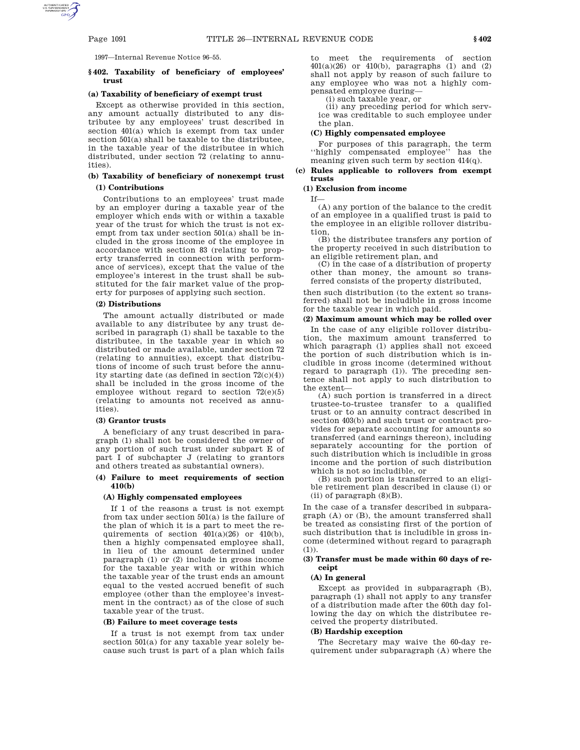1997—Internal Revenue Notice 96–55.

### **§ 402. Taxability of beneficiary of employees' trust**

#### **(a) Taxability of beneficiary of exempt trust**

Except as otherwise provided in this section, any amount actually distributed to any distributee by any employees' trust described in section 401(a) which is exempt from tax under section 501(a) shall be taxable to the distributee, in the taxable year of the distributee in which distributed, under section 72 (relating to annuities).

# **(b) Taxability of beneficiary of nonexempt trust (1) Contributions**

Contributions to an employees' trust made by an employer during a taxable year of the employer which ends with or within a taxable year of the trust for which the trust is not exempt from tax under section 501(a) shall be included in the gross income of the employee in accordance with section 83 (relating to property transferred in connection with performance of services), except that the value of the employee's interest in the trust shall be substituted for the fair market value of the property for purposes of applying such section.

#### **(2) Distributions**

The amount actually distributed or made available to any distributee by any trust described in paragraph (1) shall be taxable to the distributee, in the taxable year in which so distributed or made available, under section 72 (relating to annuities), except that distributions of income of such trust before the annuity starting date (as defined in section 72(c)(4)) shall be included in the gross income of the employee without regard to section  $72(e)(5)$ (relating to amounts not received as annuities).

#### **(3) Grantor trusts**

A beneficiary of any trust described in paragraph (1) shall not be considered the owner of any portion of such trust under subpart E of part I of subchapter J (relating to grantors and others treated as substantial owners).

#### **(4) Failure to meet requirements of section 410(b)**

#### **(A) Highly compensated employees**

If 1 of the reasons a trust is not exempt from tax under section 501(a) is the failure of the plan of which it is a part to meet the requirements of section  $401(a)(26)$  or  $410(b)$ , then a highly compensated employee shall, in lieu of the amount determined under paragraph (1) or (2) include in gross income for the taxable year with or within which the taxable year of the trust ends an amount equal to the vested accrued benefit of such employee (other than the employee's investment in the contract) as of the close of such taxable year of the trust.

#### **(B) Failure to meet coverage tests**

If a trust is not exempt from tax under section 501(a) for any taxable year solely because such trust is part of a plan which fails

to meet the requirements of section  $401(a)(26)$  or  $410(b),$  paragraphs  $\left(1\right)$  and  $\left(2\right)$ shall not apply by reason of such failure to any employee who was not a highly compensated employee during—

(i) such taxable year, or

(ii) any preceding period for which service was creditable to such employee under the plan.

#### **(C) Highly compensated employee**

For purposes of this paragraph, the term ''highly compensated employee'' has the meaning given such term by section 414(q).

# **(c) Rules applicable to rollovers from exempt trusts**

# **(1) Exclusion from income**

If—

(A) any portion of the balance to the credit of an employee in a qualified trust is paid to the employee in an eligible rollover distribution,

(B) the distributee transfers any portion of the property received in such distribution to an eligible retirement plan, and

(C) in the case of a distribution of property other than money, the amount so transferred consists of the property distributed,

then such distribution (to the extent so transferred) shall not be includible in gross income for the taxable year in which paid.

#### **(2) Maximum amount which may be rolled over**

In the case of any eligible rollover distribution, the maximum amount transferred to which paragraph (1) applies shall not exceed the portion of such distribution which is includible in gross income (determined without regard to paragraph (1)). The preceding sentence shall not apply to such distribution to the extent—

(A) such portion is transferred in a direct trustee-to-trustee transfer to a qualified trust or to an annuity contract described in section 403(b) and such trust or contract provides for separate accounting for amounts so transferred (and earnings thereon), including separately accounting for the portion of such distribution which is includible in gross income and the portion of such distribution which is not so includible, or

(B) such portion is transferred to an eligible retirement plan described in clause (i) or (ii) of paragraph  $(8)(B)$ .

In the case of a transfer described in subparagraph (A) or (B), the amount transferred shall be treated as consisting first of the portion of such distribution that is includible in gross income (determined without regard to paragraph  $(1)$ ).

#### **(3) Transfer must be made within 60 days of receipt**

# **(A) In general**

Except as provided in subparagraph (B), paragraph (1) shall not apply to any transfer of a distribution made after the 60th day following the day on which the distributee received the property distributed.

#### **(B) Hardship exception**

The Secretary may waive the 60-day requirement under subparagraph (A) where the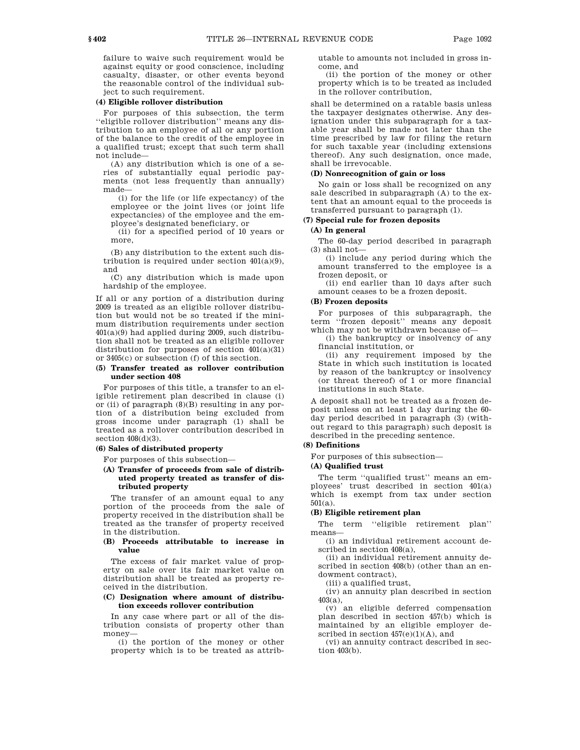failure to waive such requirement would be against equity or good conscience, including casualty, disaster, or other events beyond the reasonable control of the individual subject to such requirement.

#### **(4) Eligible rollover distribution**

For purposes of this subsection, the term ''eligible rollover distribution'' means any distribution to an employee of all or any portion of the balance to the credit of the employee in a qualified trust; except that such term shall not include—

(A) any distribution which is one of a series of substantially equal periodic payments (not less frequently than annually) made—

(i) for the life (or life expectancy) of the employee or the joint lives (or joint life expectancies) of the employee and the employee's designated beneficiary, or

(ii) for a specified period of 10 years or more,

(B) any distribution to the extent such distribution is required under section 401(a)(9), and

(C) any distribution which is made upon hardship of the employee.

If all or any portion of a distribution during 2009 is treated as an eligible rollover distribution but would not be so treated if the minimum distribution requirements under section 401(a)(9) had applied during 2009, such distribution shall not be treated as an eligible rollover distribution for purposes of section 401(a)(31) or 3405(c) or subsection (f) of this section.

### **(5) Transfer treated as rollover contribution under section 408**

For purposes of this title, a transfer to an eligible retirement plan described in clause (i) or (ii) of paragraph (8)(B) resulting in any portion of a distribution being excluded from gross income under paragraph (1) shall be treated as a rollover contribution described in section  $408(d)(3)$ .

# **(6) Sales of distributed property**

For purposes of this subsection—

### **(A) Transfer of proceeds from sale of distributed property treated as transfer of distributed property**

The transfer of an amount equal to any portion of the proceeds from the sale of property received in the distribution shall be treated as the transfer of property received in the distribution.

### **(B) Proceeds attributable to increase in value**

The excess of fair market value of property on sale over its fair market value on distribution shall be treated as property received in the distribution.

### **(C) Designation where amount of distribution exceeds rollover contribution**

In any case where part or all of the distribution consists of property other than money—

(i) the portion of the money or other property which is to be treated as attributable to amounts not included in gross income, and

(ii) the portion of the money or other property which is to be treated as included in the rollover contribution,

shall be determined on a ratable basis unless the taxpayer designates otherwise. Any designation under this subparagraph for a taxable year shall be made not later than the time prescribed by law for filing the return for such taxable year (including extensions thereof). Any such designation, once made, shall be irrevocable.

### **(D) Nonrecognition of gain or loss**

No gain or loss shall be recognized on any sale described in subparagraph (A) to the extent that an amount equal to the proceeds is transferred pursuant to paragraph (1).

# **(7) Special rule for frozen deposits**

# **(A) In general**

The 60-day period described in paragraph (3) shall not—

(i) include any period during which the amount transferred to the employee is a frozen deposit, or

(ii) end earlier than 10 days after such amount ceases to be a frozen deposit.

#### **(B) Frozen deposits**

For purposes of this subparagraph, the term ''frozen deposit'' means any deposit which may not be withdrawn because of—

(i) the bankruptcy or insolvency of any financial institution, or

(ii) any requirement imposed by the State in which such institution is located by reason of the bankruptcy or insolvency (or threat thereof) of 1 or more financial institutions in such State.

A deposit shall not be treated as a frozen deposit unless on at least 1 day during the 60 day period described in paragraph (3) (without regard to this paragraph) such deposit is described in the preceding sentence.

#### **(8) Definitions**

For purposes of this subsection—

**(A) Qualified trust**

The term ''qualified trust'' means an employees' trust described in section 401(a) which is exempt from tax under section 501(a).

#### **(B) Eligible retirement plan**

The term "eligible retirement plan" means—

(i) an individual retirement account described in section 408(a),

(ii) an individual retirement annuity described in section 408(b) (other than an endowment contract),

(iii) a qualified trust,

(iv) an annuity plan described in section 403(a),

 $(v)$  an eligible deferred compensation plan described in section 457(b) which is maintained by an eligible employer described in section  $457(e)(1)(A)$ , and

(vi) an annuity contract described in section 403(b).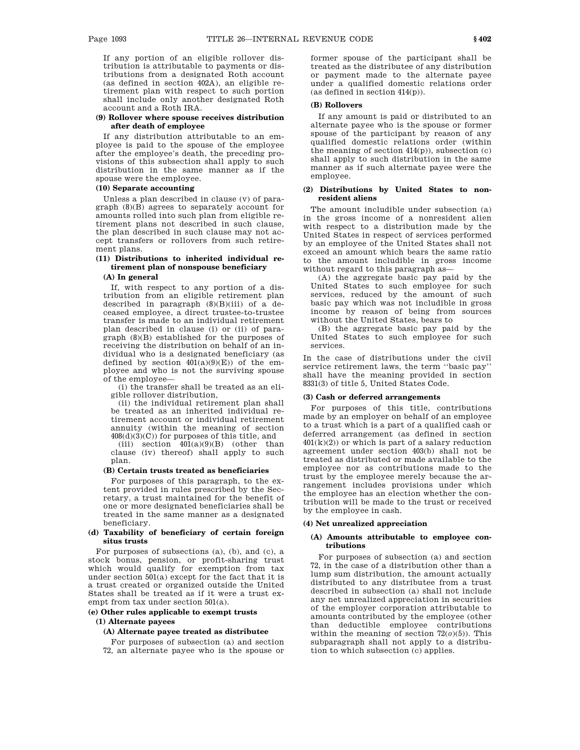If any portion of an eligible rollover distribution is attributable to payments or distributions from a designated Roth account (as defined in section 402A), an eligible retirement plan with respect to such portion shall include only another designated Roth account and a Roth IRA.

### **(9) Rollover where spouse receives distribution after death of employee**

If any distribution attributable to an employee is paid to the spouse of the employee after the employee's death, the preceding provisions of this subsection shall apply to such distribution in the same manner as if the spouse were the employee.

#### **(10) Separate accounting**

Unless a plan described in clause (v) of paragraph (8)(B) agrees to separately account for amounts rolled into such plan from eligible retirement plans not described in such clause, the plan described in such clause may not accept transfers or rollovers from such retirement plans.

# **(11) Distributions to inherited individual retirement plan of nonspouse beneficiary**

### **(A) In general**

If, with respect to any portion of a distribution from an eligible retirement plan described in paragraph  $(8)(B)(iii)$  of a deceased employee, a direct trustee-to-trustee transfer is made to an individual retirement plan described in clause (i) or (ii) of paragraph (8)(B) established for the purposes of receiving the distribution on behalf of an individual who is a designated beneficiary (as defined by section  $401(a)(9)(E)$  of the employee and who is not the surviving spouse of the employee—

(i) the transfer shall be treated as an eligible rollover distribution,

(ii) the individual retirement plan shall be treated as an inherited individual retirement account or individual retirement annuity (within the meaning of section  $408(d)(3)(C))$  for purposes of this title, and

(iii) section  $401(a)(9)(B)$  (other than clause (iv) thereof) shall apply to such plan.

### **(B) Certain trusts treated as beneficiaries**

For purposes of this paragraph, to the extent provided in rules prescribed by the Secretary, a trust maintained for the benefit of one or more designated beneficiaries shall be treated in the same manner as a designated beneficiary.

### **(d) Taxability of beneficiary of certain foreign situs trusts**

For purposes of subsections (a), (b), and (c), a stock bonus, pension, or profit-sharing trust which would qualify for exemption from tax under section 501(a) except for the fact that it is a trust created or organized outside the United States shall be treated as if it were a trust exempt from tax under section 501(a).

# **(e) Other rules applicable to exempt trusts**

#### **(1) Alternate payees**

#### **(A) Alternate payee treated as distributee**

For purposes of subsection (a) and section 72, an alternate payee who is the spouse or former spouse of the participant shall be treated as the distributee of any distribution or payment made to the alternate payee under a qualified domestic relations order (as defined in section 414(p)).

#### **(B) Rollovers**

If any amount is paid or distributed to an alternate payee who is the spouse or former spouse of the participant by reason of any qualified domestic relations order (within the meaning of section  $414(p)$ , subsection  $(c)$ shall apply to such distribution in the same manner as if such alternate payee were the employee.

### **(2) Distributions by United States to nonresident aliens**

The amount includible under subsection (a) in the gross income of a nonresident alien with respect to a distribution made by the United States in respect of services performed by an employee of the United States shall not exceed an amount which bears the same ratio to the amount includible in gross income without regard to this paragraph as—

(A) the aggregate basic pay paid by the United States to such employee for such services, reduced by the amount of such basic pay which was not includible in gross income by reason of being from sources without the United States, bears to

(B) the aggregate basic pay paid by the United States to such employee for such services.

In the case of distributions under the civil service retirement laws, the term ''basic pay'' shall have the meaning provided in section 8331(3) of title 5, United States Code.

#### **(3) Cash or deferred arrangements**

For purposes of this title, contributions made by an employer on behalf of an employee to a trust which is a part of a qualified cash or deferred arrangement (as defined in section  $401(k)(2)$  or which is part of a salary reduction agreement under section 403(b) shall not be treated as distributed or made available to the employee nor as contributions made to the trust by the employee merely because the arrangement includes provisions under which the employee has an election whether the contribution will be made to the trust or received by the employee in cash.

#### **(4) Net unrealized appreciation**

### **(A) Amounts attributable to employee contributions**

For purposes of subsection (a) and section 72, in the case of a distribution other than a lump sum distribution, the amount actually distributed to any distributee from a trust described in subsection (a) shall not include any net unrealized appreciation in securities of the employer corporation attributable to amounts contributed by the employee (other than deductible employee contributions within the meaning of section  $72(0)(5)$ ). This subparagraph shall not apply to a distribution to which subsection (c) applies.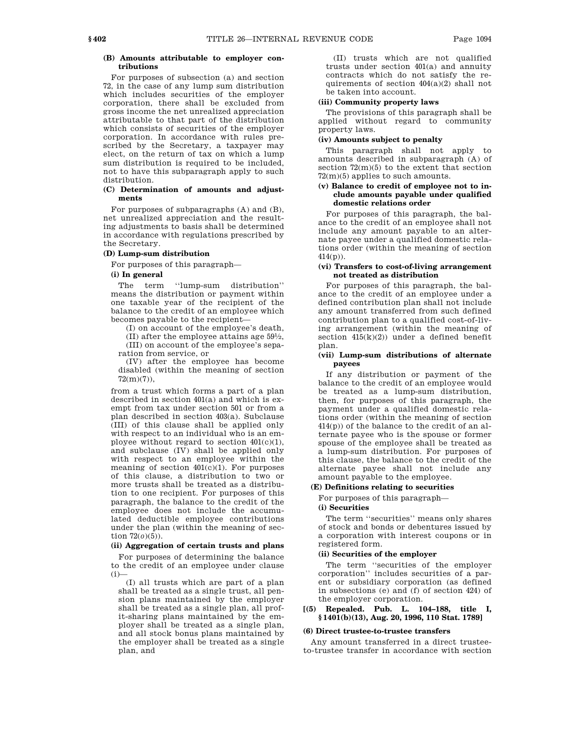## **(B) Amounts attributable to employer contributions**

For purposes of subsection (a) and section 72, in the case of any lump sum distribution which includes securities of the employer corporation, there shall be excluded from gross income the net unrealized appreciation attributable to that part of the distribution which consists of securities of the employer corporation. In accordance with rules prescribed by the Secretary, a taxpayer may elect, on the return of tax on which a lump sum distribution is required to be included, not to have this subparagraph apply to such distribution.

### **(C) Determination of amounts and adjustments**

For purposes of subparagraphs (A) and (B), net unrealized appreciation and the resulting adjustments to basis shall be determined in accordance with regulations prescribed by the Secretary.

# **(D) Lump-sum distribution**

For purposes of this paragraph—

# **(i) In general**

The term "lump-sum distribution" means the distribution or payment within one taxable year of the recipient of the balance to the credit of an employee which becomes payable to the recipient—

(I) on account of the employee's death, (II) after the employee attains age 591 ⁄2,

(III) on account of the employee's separation from service, or

(IV) after the employee has become disabled (within the meaning of section  $72(m)(7)$ ).

from a trust which forms a part of a plan described in section 401(a) and which is exempt from tax under section 501 or from a plan described in section 403(a). Subclause (III) of this clause shall be applied only with respect to an individual who is an employee without regard to section 401(c)(1), and subclause (IV) shall be applied only with respect to an employee within the meaning of section  $401(c)(1)$ . For purposes of this clause, a distribution to two or more trusts shall be treated as a distribution to one recipient. For purposes of this paragraph, the balance to the credit of the employee does not include the accumulated deductible employee contributions under the plan (within the meaning of section 72(*o*)(5)).

### **(ii) Aggregation of certain trusts and plans**

For purposes of determining the balance to the credit of an employee under clause  $(i)$ 

(I) all trusts which are part of a plan shall be treated as a single trust, all pension plans maintained by the employer shall be treated as a single plan, all profit-sharing plans maintained by the employer shall be treated as a single plan, and all stock bonus plans maintained by the employer shall be treated as a single plan, and

(II) trusts which are not qualified trusts under section 401(a) and annuity contracts which do not satisfy the requirements of section  $404(a)(2)$  shall not be taken into account.

### **(iii) Community property laws**

The provisions of this paragraph shall be applied without regard to community property laws.

# **(iv) Amounts subject to penalty**

This paragraph shall not apply to amounts described in subparagraph (A) of section  $72(m)(5)$  to the extent that section 72(m)(5) applies to such amounts.

#### **(v) Balance to credit of employee not to include amounts payable under qualified domestic relations order**

For purposes of this paragraph, the balance to the credit of an employee shall not include any amount payable to an alternate payee under a qualified domestic relations order (within the meaning of section  $414(p)$ ).

#### **(vi) Transfers to cost-of-living arrangement not treated as distribution**

For purposes of this paragraph, the balance to the credit of an employee under a defined contribution plan shall not include any amount transferred from such defined contribution plan to a qualified cost-of-living arrangement (within the meaning of section  $415(k)(2)$  under a defined benefit plan.

### **(vii) Lump-sum distributions of alternate payees**

If any distribution or payment of the balance to the credit of an employee would be treated as a lump-sum distribution, then, for purposes of this paragraph, the payment under a qualified domestic relations order (within the meaning of section 414(p)) of the balance to the credit of an alternate payee who is the spouse or former spouse of the employee shall be treated as a lump-sum distribution. For purposes of this clause, the balance to the credit of the alternate payee shall not include any amount payable to the employee.

#### **(E) Definitions relating to securities**

For purposes of this paragraph—

### **(i) Securities**

The term ''securities'' means only shares of stock and bonds or debentures issued by a corporation with interest coupons or in registered form.

### **(ii) Securities of the employer**

The term ''securities of the employer corporation'' includes securities of a parent or subsidiary corporation (as defined in subsections (e) and (f) of section 424) of the employer corporation.

# **[(5) Repealed. Pub. L. 104–188, title I, § 1401(b)(13), Aug. 20, 1996, 110 Stat. 1789]**

#### **(6) Direct trustee-to-trustee transfers**

Any amount transferred in a direct trusteeto-trustee transfer in accordance with section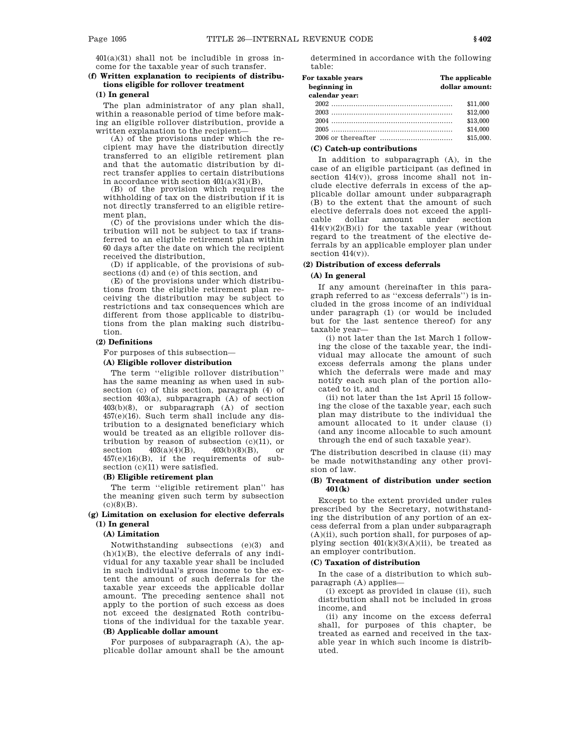$401(a)(31)$  shall not be includible in gross income for the taxable year of such transfer.

# **(f) Written explanation to recipients of distributions eligible for rollover treatment**

### **(1) In general**

The plan administrator of any plan shall, within a reasonable period of time before making an eligible rollover distribution, provide a written explanation to the recipient—

(A) of the provisions under which the recipient may have the distribution directly transferred to an eligible retirement plan and that the automatic distribution by direct transfer applies to certain distributions in accordance with section  $401(a)(31)(B)$ ,

(B) of the provision which requires the withholding of tax on the distribution if it is not directly transferred to an eligible retirement plan,

(C) of the provisions under which the distribution will not be subject to tax if transferred to an eligible retirement plan within 60 days after the date on which the recipient received the distribution,

(D) if applicable, of the provisions of subsections (d) and (e) of this section, and

(E) of the provisions under which distributions from the eligible retirement plan receiving the distribution may be subject to restrictions and tax consequences which are different from those applicable to distributions from the plan making such distribution.

#### **(2) Definitions**

For purposes of this subsection—

### **(A) Eligible rollover distribution**

The term ''eligible rollover distribution'' has the same meaning as when used in subsection (c) of this section, paragraph (4) of section 403(a), subparagraph (A) of section 403(b)(8), or subparagraph (A) of section 457(e)(16). Such term shall include any distribution to a designated beneficiary which would be treated as an eligible rollover distribution by reason of subsection  $(c)(11)$ , or section  $403(a)(4)(B)$ ,  $403(b)(8)(B)$ , or section  $\frac{403(a)(4)(B)}{403(b)(8)(B)}$ , or 457(e)(16)(B), if the requirements of subsection (c)(11) were satisfied.

#### **(B) Eligible retirement plan**

The term "eligible retirement plan" has the meaning given such term by subsection  $(c)(8)(B)$ .

# **(g) Limitation on exclusion for elective deferrals (1) In general**

#### **(A) Limitation**

Notwithstanding subsections (e)(3) and  $(h)(1)(B)$ , the elective deferrals of any individual for any taxable year shall be included in such individual's gross income to the extent the amount of such deferrals for the taxable year exceeds the applicable dollar amount. The preceding sentence shall not apply to the portion of such excess as does not exceed the designated Roth contributions of the individual for the taxable year.

## **(B) Applicable dollar amount**

For purposes of subparagraph (A), the applicable dollar amount shall be the amount determined in accordance with the following table:

### **For taxable years The applicable beginning in dollar amount: calendar year:** 2002 ....................................................... \$11,000 2003 ....................................................... \$12,000 2004 ....................................................... \$13,000 2005 ....................................................... \$14,000 2006 or thereafter ................................. \$15,000.

#### **(C) Catch-up contributions**

In addition to subparagraph (A), in the case of an eligible participant (as defined in section 414(v)), gross income shall not include elective deferrals in excess of the applicable dollar amount under subparagraph (B) to the extent that the amount of such elective deferrals does not exceed the applicable dollar amount under section  $414(v)(2)(B)(i)$  for the taxable year (without regard to the treatment of the elective deferrals by an applicable employer plan under section  $414(v)$ ).

# **(2) Distribution of excess deferrals**

#### **(A) In general**

If any amount (hereinafter in this paragraph referred to as ''excess deferrals'') is included in the gross income of an individual under paragraph (1) (or would be included but for the last sentence thereof) for any taxable year—

(i) not later than the 1st March 1 following the close of the taxable year, the individual may allocate the amount of such excess deferrals among the plans under which the deferrals were made and may notify each such plan of the portion allocated to it, and

(ii) not later than the 1st April 15 following the close of the taxable year, each such plan may distribute to the individual the amount allocated to it under clause (i) (and any income allocable to such amount through the end of such taxable year).

The distribution described in clause (ii) may be made notwithstanding any other provision of law.

### **(B) Treatment of distribution under section 401(k)**

Except to the extent provided under rules prescribed by the Secretary, notwithstanding the distribution of any portion of an excess deferral from a plan under subparagraph  $(A)(ii)$ , such portion shall, for purposes of applying section  $401(k)(3)(A)(ii)$ , be treated as an employer contribution.

## **(C) Taxation of distribution**

In the case of a distribution to which subparagraph (A) applies—

(i) except as provided in clause (ii), such distribution shall not be included in gross income, and

(ii) any income on the excess deferral shall, for purposes of this chapter, be treated as earned and received in the taxable year in which such income is distributed.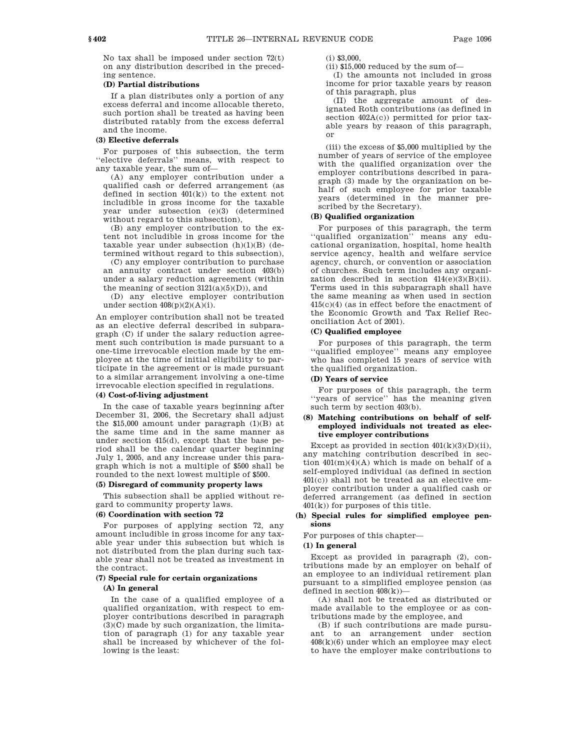No tax shall be imposed under section 72(t) on any distribution described in the preceding sentence.

# **(D) Partial distributions**

If a plan distributes only a portion of any excess deferral and income allocable thereto, such portion shall be treated as having been distributed ratably from the excess deferral and the income.

### **(3) Elective deferrals**

For purposes of this subsection, the term ''elective deferrals'' means, with respect to any taxable year, the sum of—

(A) any employer contribution under a qualified cash or deferred arrangement (as defined in section  $401(k)$  to the extent not includible in gross income for the taxable year under subsection (e)(3) (determined without regard to this subsection),

(B) any employer contribution to the extent not includible in gross income for the taxable year under subsection  $(h)(1)(B)$  (determined without regard to this subsection),

(C) any employer contribution to purchase an annuity contract under section 403(b) under a salary reduction agreement (within the meaning of section  $3121(a)(5)(D)$ , and

(D) any elective employer contribution under section  $408(p)(2)(A)(i)$ .

An employer contribution shall not be treated as an elective deferral described in subparagraph (C) if under the salary reduction agreement such contribution is made pursuant to a one-time irrevocable election made by the employee at the time of initial eligibility to participate in the agreement or is made pursuant to a similar arrangement involving a one-time irrevocable election specified in regulations.

# **(4) Cost-of-living adjustment**

In the case of taxable years beginning after December 31, 2006, the Secretary shall adjust the \$15,000 amount under paragraph (1)(B) at the same time and in the same manner as under section 415(d), except that the base period shall be the calendar quarter beginning July 1, 2005, and any increase under this paragraph which is not a multiple of \$500 shall be rounded to the next lowest multiple of \$500.

# **(5) Disregard of community property laws**

This subsection shall be applied without regard to community property laws.

# **(6) Coordination with section 72**

For purposes of applying section 72, any amount includible in gross income for any taxable year under this subsection but which is not distributed from the plan during such taxable year shall not be treated as investment in the contract.

# **(7) Special rule for certain organizations**

# **(A) In general**

In the case of a qualified employee of a qualified organization, with respect to employer contributions described in paragraph  $(3)(C)$  made by such organization, the limitation of paragraph (1) for any taxable year shall be increased by whichever of the following is the least:

 $(i)$  \$3,000

(ii) \$15,000 reduced by the sum of—

(I) the amounts not included in gross income for prior taxable years by reason of this paragraph, plus

(II) the aggregate amount of designated Roth contributions (as defined in section  $402A(c)$  permitted for prior taxable years by reason of this paragraph, or

(iii) the excess of \$5,000 multiplied by the number of years of service of the employee with the qualified organization over the employer contributions described in paragraph (3) made by the organization on behalf of such employee for prior taxable years (determined in the manner prescribed by the Secretary).

# **(B) Qualified organization**

For purposes of this paragraph, the term ''qualified organization'' means any educational organization, hospital, home health service agency, health and welfare service agency, church, or convention or association of churches. Such term includes any organization described in section  $414(e)(3)(B)(ii)$ . Terms used in this subparagraph shall have the same meaning as when used in section 415(c)(4) (as in effect before the enactment of the Economic Growth and Tax Relief Reconciliation Act of 2001).

# **(C) Qualified employee**

For purposes of this paragraph, the term ''qualified employee'' means any employee who has completed 15 years of service with the qualified organization.

# **(D) Years of service**

For purposes of this paragraph, the term ''years of service'' has the meaning given such term by section 403(b).

### **(8) Matching contributions on behalf of selfemployed individuals not treated as elective employer contributions**

Except as provided in section  $401(k)(3)(D)(ii)$ . any matching contribution described in section  $401(m)(4)(A)$  which is made on behalf of a self-employed individual (as defined in section 401(c)) shall not be treated as an elective employer contribution under a qualified cash or deferred arrangement (as defined in section 401(k)) for purposes of this title.

### **(h) Special rules for simplified employee pensions**

For purposes of this chapter—

# **(1) In general**

Except as provided in paragraph (2), contributions made by an employer on behalf of an employee to an individual retirement plan pursuant to a simplified employee pension (as defined in section 408(k))—

(A) shall not be treated as distributed or made available to the employee or as contributions made by the employee, and

(B) if such contributions are made pursuant to an arrangement under section  $408(k)(6)$  under which an employee may elect to have the employer make contributions to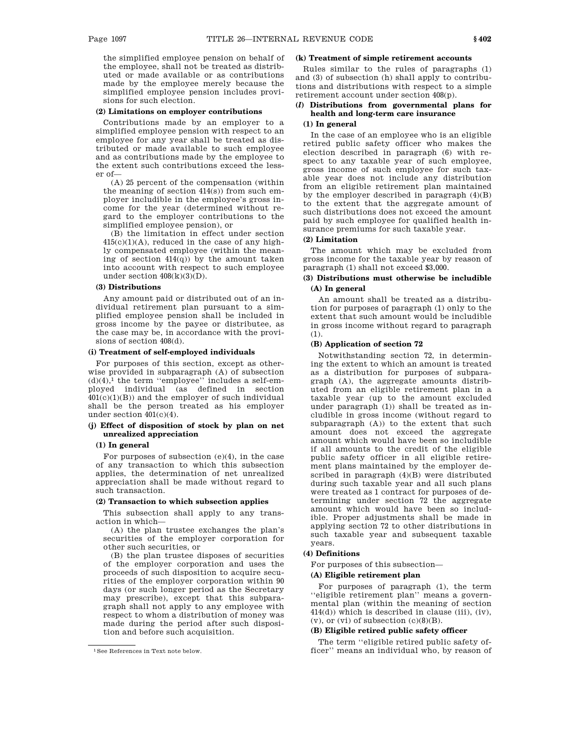the simplified employee pension on behalf of the employee, shall not be treated as distributed or made available or as contributions made by the employee merely because the simplified employee pension includes provisions for such election.

#### **(2) Limitations on employer contributions**

Contributions made by an employer to a simplified employee pension with respect to an employee for any year shall be treated as distributed or made available to such employee and as contributions made by the employee to the extent such contributions exceed the lesser of—

(A) 25 percent of the compensation (within the meaning of section 414(s)) from such employer includible in the employee's gross income for the year (determined without regard to the employer contributions to the simplified employee pension), or

(B) the limitation in effect under section  $415(c)(1)(A)$ , reduced in the case of any highly compensated employee (within the meaning of section 414(q)) by the amount taken into account with respect to such employee under section  $408(k)(3)(D)$ .

### **(3) Distributions**

Any amount paid or distributed out of an individual retirement plan pursuant to a simplified employee pension shall be included in gross income by the payee or distributee, as the case may be, in accordance with the provisions of section 408(d).

### **(i) Treatment of self-employed individuals**

For purposes of this section, except as otherwise provided in subparagraph (A) of subsection  $(d)(4)$ ,<sup>1</sup> the term "employee" includes a self-employed individual (as defined in section  $401(c)(1)(B)$  and the employer of such individual shall be the person treated as his employer under section 401(c)(4).

# **(j) Effect of disposition of stock by plan on net unrealized appreciation**

#### **(1) In general**

For purposes of subsection (e)(4), in the case of any transaction to which this subsection applies, the determination of net unrealized appreciation shall be made without regard to such transaction.

#### **(2) Transaction to which subsection applies**

This subsection shall apply to any transaction in which—

(A) the plan trustee exchanges the plan's securities of the employer corporation for other such securities, or

(B) the plan trustee disposes of securities of the employer corporation and uses the proceeds of such disposition to acquire securities of the employer corporation within 90 days (or such longer period as the Secretary may prescribe), except that this subparagraph shall not apply to any employee with respect to whom a distribution of money was made during the period after such disposition and before such acquisition.

#### **(k) Treatment of simple retirement accounts**

Rules similar to the rules of paragraphs (1) and (3) of subsection (h) shall apply to contributions and distributions with respect to a simple retirement account under section 408(p).

# **(***l***) Distributions from governmental plans for health and long-term care insurance**

# **(1) In general**

In the case of an employee who is an eligible retired public safety officer who makes the election described in paragraph (6) with respect to any taxable year of such employee, gross income of such employee for such taxable year does not include any distribution from an eligible retirement plan maintained by the employer described in paragraph  $(4)(B)$ to the extent that the aggregate amount of such distributions does not exceed the amount paid by such employee for qualified health insurance premiums for such taxable year.

# **(2) Limitation**

The amount which may be excluded from gross income for the taxable year by reason of paragraph (1) shall not exceed \$3,000.

# **(3) Distributions must otherwise be includible (A) In general**

An amount shall be treated as a distribution for purposes of paragraph (1) only to the extent that such amount would be includible in gross income without regard to paragraph (1).

#### **(B) Application of section 72**

Notwithstanding section 72, in determining the extent to which an amount is treated as a distribution for purposes of subparagraph (A), the aggregate amounts distributed from an eligible retirement plan in a taxable year (up to the amount excluded under paragraph (1)) shall be treated as includible in gross income (without regard to subparagraph (A)) to the extent that such amount does not exceed the aggregate amount which would have been so includible if all amounts to the credit of the eligible public safety officer in all eligible retirement plans maintained by the employer described in paragraph (4)(B) were distributed during such taxable year and all such plans were treated as 1 contract for purposes of determining under section 72 the aggregate amount which would have been so includible. Proper adjustments shall be made in applying section 72 to other distributions in such taxable year and subsequent taxable years.

#### **(4) Definitions**

For purposes of this subsection—

#### **(A) Eligible retirement plan**

For purposes of paragraph (1), the term ''eligible retirement plan'' means a governmental plan (within the meaning of section  $414(d)$ ) which is described in clause (iii), (iv),  $(v)$ , or  $(vi)$  of subsection  $(c)(8)(B)$ .

### **(B) Eligible retired public safety officer**

The term ''eligible retired public safety officer'' means an individual who, by reason of

<sup>1</sup>See References in Text note below.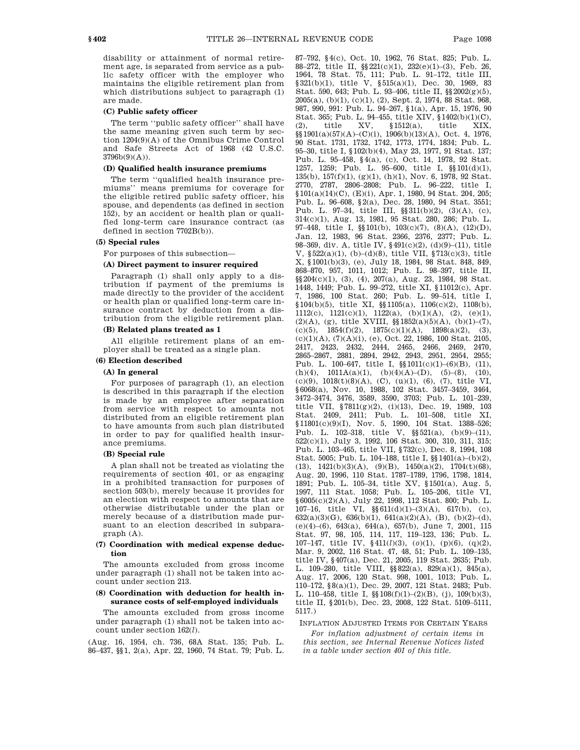disability or attainment of normal retirement age, is separated from service as a public safety officer with the employer who maintains the eligible retirement plan from which distributions subject to paragraph (1) are made.

#### **(C) Public safety officer**

The term ''public safety officer'' shall have the same meaning given such term by section 1204(9)(A) of the Omnibus Crime Control and Safe Streets Act of 1968 (42 U.S.C. 3796b(9)(A)).

### **(D) Qualified health insurance premiums**

The term ''qualified health insurance premiums'' means premiums for coverage for the eligible retired public safety officer, his spouse, and dependents (as defined in section 152), by an accident or health plan or qualified long-term care insurance contract (as defined in section 7702B(b)).

### **(5) Special rules**

For purposes of this subsection—

# **(A) Direct payment to insurer required**

Paragraph (1) shall only apply to a distribution if payment of the premiums is made directly to the provider of the accident or health plan or qualified long-term care insurance contract by deduction from a distribution from the eligible retirement plan.

# **(B) Related plans treated as 1**

All eligible retirement plans of an employer shall be treated as a single plan.

#### **(6) Election described**

#### **(A) In general**

For purposes of paragraph (1), an election is described in this paragraph if the election is made by an employee after separation from service with respect to amounts not distributed from an eligible retirement plan to have amounts from such plan distributed in order to pay for qualified health insurance premiums.

#### **(B) Special rule**

A plan shall not be treated as violating the requirements of section 401, or as engaging in a prohibited transaction for purposes of section 503(b), merely because it provides for an election with respect to amounts that are otherwise distributable under the plan or merely because of a distribution made pursuant to an election described in subparagraph (A).

#### **(7) Coordination with medical expense deduction**

The amounts excluded from gross income under paragraph (1) shall not be taken into account under section 213.

# **(8) Coordination with deduction for health insurance costs of self-employed individuals**

The amounts excluded from gross income under paragraph (1) shall not be taken into account under section 162(*l*).

(Aug. 16, 1954, ch. 736, 68A Stat. 135; Pub. L. 86–437, §§1, 2(a), Apr. 22, 1960, 74 Stat. 79; Pub. L. 87–792, §4(c), Oct. 10, 1962, 76 Stat. 825; Pub. L. 88–272, title II, §§221(c)(1), 232(e)(1)–(3), Feb. 26, 1964, 78 Stat. 75, 111; Pub. L. 91–172, title III, §321(b)(1), title V, §515(a)(1), Dec. 30, 1969, 83 Stat. 590, 643; Pub. L. 93–406, title II, §§2002(g)(5), 2005(a), (b)(1), (c)(1), (2), Sept. 2, 1974, 88 Stat. 968, 987, 990, 991: Pub. L. 94–267, §1(a), Apr. 15, 1976, 90 Stat. 365; Pub. L. 94–455, title XIV, §1402(b)(1)(C), (2), title XV, §1512(a), title XIX, §§1901(a)(57)(A)–(C)(i), 1906(b)(13)(A), Oct. 4, 1976, 90 Stat. 1731, 1732, 1742, 1773, 1774, 1834; Pub. L. 95–30, title I, §102(b)(4), May 23, 1977, 91 Stat. 137; Pub. L. 95–458, §4(a), (c), Oct. 14, 1978, 92 Stat. 1257, 1259; Pub. L. 95–600, title I, §§101(d)(1), 135(b), 157(f)(1), (g)(1), (h)(1), Nov. 6, 1978, 92 Stat. 2770, 2787, 2806–2808; Pub. L. 96–222, title I, §101(a)(14)(C), (E)(i), Apr. 1, 1980, 94 Stat. 204, 205; Pub. L. 96–608, §2(a), Dec. 28, 1980, 94 Stat. 3551; Pub. L. 97–34, title III, §§311(b)(2), (3)(A), (c), 314(c)(1), Aug. 13, 1981, 95 Stat. 280, 286; Pub. L. 97–448, title I, §§101(b), 103(c)(7), (8)(A), (12)(D), Jan. 12, 1983, 96 Stat. 2366, 2376, 2377; Pub. L. 98–369, div. A, title IV, §491(c)(2), (d)(9)–(11), title V, §522(a)(1), (b)–(d)(8), title VII, §713(c)(3), title X, §1001(b)(3), (e), July 18, 1984, 98 Stat. 848, 849, 868–870, 957, 1011, 1012; Pub. L. 98–397, title II, §§204(c)(1), (3), (4), 207(a), Aug. 23, 1984, 98 Stat. 1448, 1449; Pub. L. 99–272, title XI, §11012(c), Apr. 7, 1986, 100 Stat. 260; Pub. L. 99–514, title I, §104(b)(5), title XI, §§1105(a), 1106(c)(2), 1108(b), 1112(c), 1121(c)(1), 1122(a), (b)(1)(A), (2), (e)(1), (2)(A), (g), title XVIII,  $\S$ 1852(a)(5)(A), (b)(1)-(7), (c)(5),  $1854(f)(2)$ ,  $1875(c)(1)(A)$ ,  $1898(a)(2)$ , (3),  $(c)(1)(A), (7)(A)(i), (e), Oct. 22, 1986, 100 Stat. 2105.$ 2417, 2423, 2432, 2444, 2465, 2466, 2469, 2470, 2865–2867, 2881, 2894, 2942, 2943, 2951, 2954, 2955; Pub. L. 100–647, title I, §§1011(c)(1)–(6)(B), (11), (h)(4),  $1011A(a)(1)$ ,  $(b)(4)(A)$ –(D),  $(5)$ –(8), (10), (c)(9), 1018(t)(8)(A), (C), (u)(1), (6), (7), title VI, §6068(a), Nov. 10, 1988, 102 Stat. 3457–3459, 3464, 3472–3474, 3476, 3589, 3590, 3703; Pub. L. 101–239, title VII, §7811(g)(2), (i)(13), Dec. 19, 1989, 103 Stat. 2409, 2411; Pub. L. 101–508, title XI,  $§11801(c)(9)(I)$ , Nov. 5, 1990, 104 Stat. 1388-526; Pub. L. 102–318, title V, §§521(a), (b)(9)–(11), 522(c)(1), July 3, 1992, 106 Stat. 300, 310, 311, 315; Pub. L. 103–465, title VII, §732(c), Dec. 8, 1994, 108 Stat. 5005; Pub. L. 104–188, title I, §§1401(a)–(b)(2), (13),  $1421(b)(3)(A)$ ,  $(9)(B)$ ,  $1450(a)(2)$ ,  $1704(t)(68)$ , Aug. 20, 1996, 110 Stat. 1787–1789, 1796, 1798, 1814, 1891; Pub. L. 105–34, title XV, §1501(a), Aug. 5, 1997, 111 Stat. 1058; Pub. L. 105–206, title VI, §6005(c)(2)(A), July 22, 1998, 112 Stat. 800; Pub. L. 107–16, title VI, §§611(d)(1)–(3)(A), 617(b), (c),  $632(a)(3)(G)$ ,  $636(b)(1)$ ,  $641(a)(2)(A)$ , (B), (b)(2)–(d), (e)(4)–(6), 643(a), 644(a), 657(b), June 7, 2001, 115 Stat. 97, 98, 105, 114, 117, 119–123, 136; Pub. L. 107–147, title IV, §411(*l*)(3), (*o*)(1), (p)(6), (q)(2), Mar. 9, 2002, 116 Stat. 47, 48, 51; Pub. L. 109–135, title IV, §407(a), Dec. 21, 2005, 119 Stat. 2635; Pub. L. 109–280, title VIII, §§822(a), 829(a)(1), 845(a), Aug. 17, 2006, 120 Stat. 998, 1001, 1013; Pub. L. 110–172, §8(a)(1), Dec. 29, 2007, 121 Stat. 2483; Pub. L. 110–458, title I, §§108(f)(1)–(2)(B), (j), 109(b)(3), title II, §201(b), Dec. 23, 2008, 122 Stat. 5109–5111, 5117.)

#### INFLATION ADJUSTED ITEMS FOR CERTAIN YEARS

*For inflation adjustment of certain items in this section, see Internal Revenue Notices listed in a table under section 401 of this title.*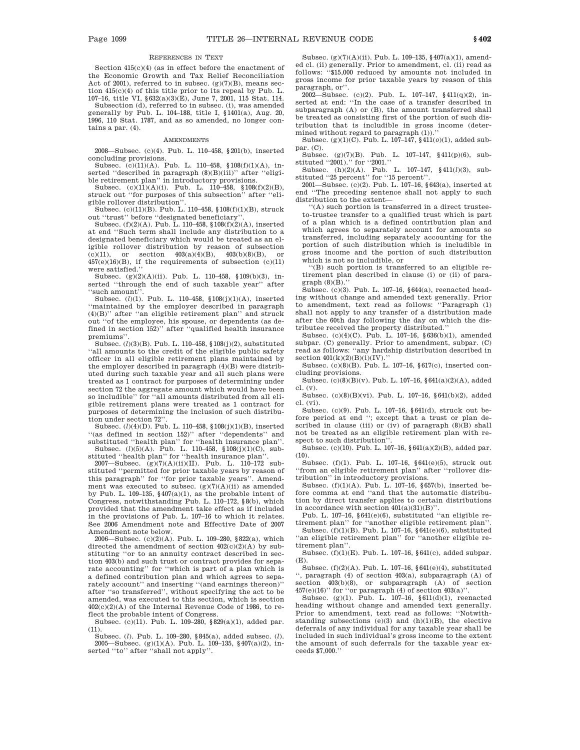#### REFERENCES IN TEXT

Section 415(c)(4) (as in effect before the enactment of the Economic Growth and Tax Relief Reconciliation Act of 2001), referred to in subsec.  $(g)(7)(B)$ , means section 415(c)(4) of this title prior to its repeal by Pub. L. 107–16, title VI, §632(a)(3)(E), June 7, 2001, 115 Stat. 114.

Subsection (d), referred to in subsec. (i), was amended generally by Pub. L. 104–188, title I, §1401(a), Aug. 20, 1996, 110 Stat. 1787, and as so amended, no longer contains a par. (4).

#### **AMENDMENTS**

2008—Subsec. (c)(4). Pub. L. 110–458, §201(b), inserted concluding provisions.

Subsec.  $(c)(11)(A)$ . Pub. L. 110–458, §108(f)(1)(A), inserted ''described in paragraph (8)(B)(iii)'' after ''eligible retirement plan'' in introductory provisions.

Subsec.  $(c)(11)(A)(i)$ . Pub. L.  $110-458$ ,  $108(f)(2)(B)$ , struck out ''for purposes of this subsection'' after ''eligible rollover distribution''.

Subsec. (c)(11)(B). Pub. L. 110–458, §108(f)(1)(B), struck out ''trust'' before ''designated beneficiary''.

Subsec. (f)(2)(A). Pub. L. 110–458, §108(f)(2)(A), inserted at end ''Such term shall include any distribution to a designated beneficiary which would be treated as an eligible rollover distribution by reason of subsection (c)(11), or section  $403(a)(4)(B)$ ,  $403(b)(8)(B)$ , or  $457(e)(16)(B)$ , if the requirements of subsection  $(c)(11)$ were satisfied.''

Subsec. (g)(2)(A)(ii). Pub. L. 110–458, §109(b)(3), inserted ''through the end of such taxable year'' after ''such amount''.

Subsec. (*l*)(1). Pub. L. 110–458, §108(j)(1)(A), inserted ''maintained by the employer described in paragraph (4)(B)'' after ''an eligible retirement plan'' and struck out ''of the employee, his spouse, or dependents (as defined in section 152)'' after ''qualified health insurance premiums''.

Subsec. (*l*)(3)(B). Pub. L. 110–458, §108(j)(2), substituted ''all amounts to the credit of the eligible public safety officer in all eligible retirement plans maintained by the employer described in paragraph (4)(B) were distributed during such taxable year and all such plans were treated as 1 contract for purposes of determining under section 72 the aggregate amount which would have been so includible'' for ''all amounts distributed from all eligible retirement plans were treated as 1 contract for purposes of determining the inclusion of such distribution under section 72''.

Subsec. (*l*)(4)(D). Pub. L. 110–458, §108(j)(1)(B), inserted ''(as defined in section 152)'' after ''dependents'' and substituted ''health plan'' for ''health insurance plan''.

Subsec. (*l*)(5)(A). Pub. L. 110–458, §108(j)(1)(C), substituted ''health plan'' for ''health insurance plan''.

2007—Subsec. (g)(7)(A)(ii)(II). Pub. L. 110–172 substituted ''permitted for prior taxable years by reason of this paragraph'' for ''for prior taxable years''. Amendment was executed to subsec.  $(g)(7)(A)(ii)$  as amended by Pub. L. 109–135,  $\S 407(a)(1),$  as the probable intent of Congress, notwithstanding Pub. L. 110–172, §8(b), which provided that the amendment take effect as if included in the provisions of Pub. L. 107–16 to which it relates. See 2006 Amendment note and Effective Date of 2007 Amendment note below.

2006—Subsec. (c)(2)(A). Pub. L. 109–280, §822(a), which directed the amendment of section 402(c)(2)(A) by substituting ''or to an annuity contract described in section 403(b) and such trust or contract provides for separate accounting'' for ''which is part of a plan which is a defined contribution plan and which agrees to separately account'' and inserting ''(and earnings thereon)'' after ''so transferred'', without specifying the act to be amended, was executed to this section, which is section  $402(c)(2)(A)$  of the Internal Revenue Code of 1986, to reflect the probable intent of Congress.

Subsec. (c)(11). Pub. L. 109–280, §829(a)(1), added par.  $(11)$ .

Subsec. (*l*). Pub. L. 109–280, §845(a), added subsec. (*l*). 2005—Subsec. (g)(1)(A). Pub. L. 109–135, §407(a)(2), inserted ''to'' after ''shall not apply''.

Subsec. (g)(7)(A)(ii). Pub. L. 109–135, §407(a)(1), amended cl. (ii) generally. Prior to amendment, cl. (ii) read as follows: ''\$15,000 reduced by amounts not included in gross income for prior taxable years by reason of this paragraph, or''.

2002—Subsec. (c)(2). Pub. L. 107–147, §411(q)(2), inserted at end: ''In the case of a transfer described in subparagraph (A) or (B), the amount transferred shall be treated as consisting first of the portion of such distribution that is includible in gross income (determined without regard to paragraph (1)).''

Subsec. (g)(1)(C). Pub. L. 107–147, §411(*o*)(1), added subpar. (C).

Subsec. (g)(7)(B). Pub. L. 107–147, §411(p)(6), substituted ''2001).'' for ''2001.''

Subsec. (h)(2)(A). Pub. L. 107–147, §411(*l*)(3), substituted "25 percent" for "15 percent".

2001—Subsec. (c)(2). Pub. L. 107–16, §643(a), inserted at end ''The preceding sentence shall not apply to such distribution to the extent—

''(A) such portion is transferred in a direct trusteeto-trustee transfer to a qualified trust which is part of a plan which is a defined contribution plan and which agrees to separately account for amounts so transferred, including separately accounting for the portion of such distribution which is includible in gross income and the portion of such distribution which is not so includible, or

''(B) such portion is transferred to an eligible retirement plan described in clause (i) or (ii) of paragraph (8)(B).''

Subsec. (c)(3). Pub. L. 107–16, §644(a), reenacted heading without change and amended text generally. Prior to amendment, text read as follows: ''Paragraph (1) shall not apply to any transfer of a distribution made after the 60th day following the day on which the distributee received the property distributed.''

Subsec. (c)(4)(C). Pub. L. 107–16, §636(b)(1), amended subpar. (C) generally. Prior to amendment, subpar. (C) read as follows: ''any hardship distribution described in section  $401(k)(2)(B)(i)(IV)$ ."

Subsec. (c)(8)(B). Pub. L. 107–16, §617(c), inserted concluding provisions.

Subsec. (c)(8)(B)(v). Pub. L. 107–16, §641(a)(2)(A), added cl. (v).

Subsec. (c)(8)(B)(vi). Pub. L. 107–16, §641(b)(2), added cl. (vi).

Subsec. (c)(9). Pub. L. 107–16, §641(d), struck out before period at end ''; except that a trust or plan described in clause (iii) or (iv) of paragraph  $(8)(B)$  shall not be treated as an eligible retirement plan with respect to such distribution''.

Subsec. (c)(10). Pub. L. 107–16, §641(a)(2)(B), added par. (10).

Subsec. (f)(1). Pub. L. 107–16, §641(e)(5), struck out ''from an eligible retirement plan'' after ''rollover distribution'' in introductory provisions.

Subsec. (f)(1)(A). Pub. L. 107–16, §657(b), inserted before comma at end ''and that the automatic distribution by direct transfer applies to certain distributions in accordance with section  $401(a)(31)(B)$ "

Pub. L. 107–16, §641(e)(6), substituted "an eligible retirement plan'' for ''another eligible retirement plan''.

Subsec. (f)(1)(B). Pub. L. 107–16, §641(e)(6), substituted ''an eligible retirement plan'' for ''another eligible retirement plan''.

Subsec. (f)(1)(E). Pub. L. 107–16, §641(c), added subpar. (E).

Subsec. (f)(2)(A). Pub. L. 107–16, §641(e)(4), substituted '', paragraph (4) of section 403(a), subparagraph (A) of section  $403(b)(8)$ , or subparagraph (A) of section  $457(e)(16)$ " for "or paragraph (4) of section  $403(a)$ ".

Subsec. (g)(1). Pub. L.  $107-16$ ,  $\frac{611}{d}(1)$ , reenacted heading without change and amended text generally. Prior to amendment, text read as follows: ''Notwithstanding subsections  $(e)(3)$  and  $(h)(1)(B)$ , the elective deferrals of any individual for any taxable year shall be included in such individual's gross income to the extent the amount of such deferrals for the taxable year exceeds \$7,000.''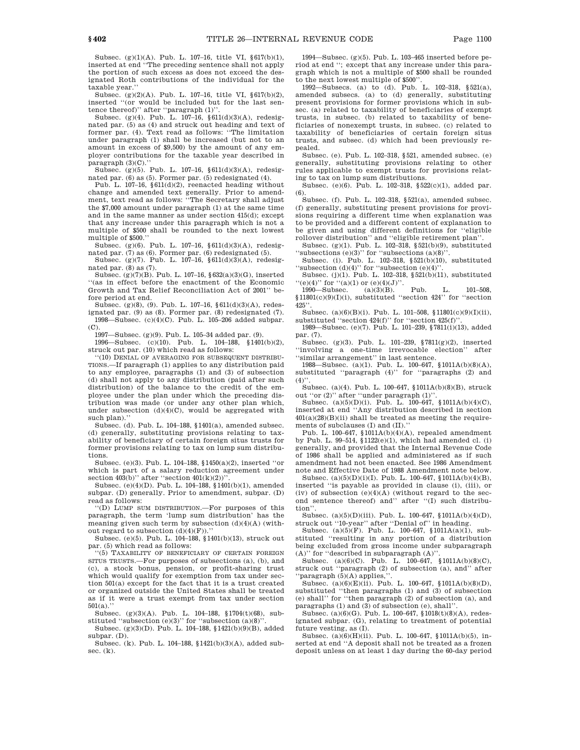Subsec. (g)(1)(A). Pub. L. 107–16, title VI, §617(b)(1), inserted at end ''The preceding sentence shall not apply the portion of such excess as does not exceed the designated Roth contributions of the individual for the taxable year.''

Subsec. (g)(2)(A). Pub. L. 107–16, title VI, §617(b)(2), inserted ''(or would be included but for the last sentence thereof)'' after ''paragraph (1)''.

Subsec. (g)(4). Pub. L.  $107-16$ ,  $$611(d)(3)(A)$ , redesignated par. (5) as (4) and struck out heading and text of former par. (4). Text read as follows: ''The limitation under paragraph (1) shall be increased (but not to an amount in excess of \$9,500) by the amount of any employer contributions for the taxable year described in paragraph (3)(C).'

Subsec. (g)(5). Pub. L. 107–16, §611(d)(3)(A), redesignated par. (6) as (5). Former par. (5) redesignated (4).

Pub. L. 107–16, §611(d)(2), reenacted heading without change and amended text generally. Prior to amendment, text read as follows: "The Secretary shall adjust the \$7,000 amount under paragraph (1) at the same time and in the same manner as under section 415(d); except that any increase under this paragraph which is not a multiple of \$500 shall be rounded to the next lowest multiple of \$500.''

Subsec. (g)(6). Pub. L. 107–16, §611(d)(3)(A), redesignated par.  $(7)$  as  $(6)$ . Former par.  $(6)$  redesignated  $(5)$ .

Subsec. (g)(7). Pub. L.  $107-16$ ,  $$611(d)(3)(A)$ , redesignated par. (8) as (7). Subsec. (g)(7)(B). Pub. L. 107–16, §632(a)(3)(G), inserted

''(as in effect before the enactment of the Economic Growth and Tax Relief Reconciliation Act of 2001'' before period at end.

Subsec. (g)(8), (9). Pub. L. 107–16, §611(d)(3)(A), redesignated par. (9) as (8). Former par. (8) redesignated (7). 1998—Subsec. (c)(4)(C). Pub. L. 105–206 added subpar. (C).

1997—Subsec. (g)(9). Pub. L. 105–34 added par. (9).

1996—Subsec. (c)(10). Pub. L. 104–188, §1401(b)(2), struck out par. (10) which read as follows:

''(10) DENIAL OF AVERAGING FOR SUBSEQUENT DISTRIBU-TIONS.—If paragraph (1) applies to any distribution paid to any employee, paragraphs (1) and (3) of subsection (d) shall not apply to any distribution (paid after such distribution) of the balance to the credit of the employee under the plan under which the preceding distribution was made (or under any other plan which, under subsection  $(d)(4)(C)$ , would be aggregated with such plan).'

Subsec. (d). Pub. L. 104–188, §1401(a), amended subsec. (d) generally, substituting provisions relating to taxability of beneficiary of certain foreign situs trusts for former provisions relating to tax on lump sum distributions.

Subsec. (e)(3). Pub. L. 104–188, §1450(a)(2), inserted ''or which is part of a salary reduction agreement under section  $403(b)$ " after "section  $401(k)(2)$ "

Subsec. (e)(4)(D). Pub. L. 104–188, §1401(b)(1), amended subpar. (D) generally. Prior to amendment, subpar. (D) read as follows:

''(D) LUMP SUM DISTRIBUTION.—For purposes of this paragraph, the term 'lump sum distribution' has the meaning given such term by subsection  $(d)(4)(A)$  (without regard to subsection  $(d)(4)(F)$ ).

Subsec. (e)(5). Pub. L. 104–188, §1401(b)(13), struck out par. (5) which read as follows:

''(5) TAXABILITY OF BENEFICIARY OF CERTAIN FOREIGN SITUS TRUSTS.—For purposes of subsections (a), (b), and (c), a stock bonus, pension, or profit-sharing trust which would qualify for exemption from tax under section 501(a) except for the fact that it is a trust created or organized outside the United States shall be treated as if it were a trust exempt from tax under section  $501(a)$ .

Subsec. (g)(3)(A). Pub. L. 104–188, §1704(t)(68), sub-

stituted ''subsection (e)(3)'' for ''subsection (a)(8)''. Subsec. (g)(3)(D). Pub. L. 104–188, §1421(b)(9)(B), added subpar. (D).

Subsec. (k). Pub. L. 104–188, §1421(b)(3)(A), added subsec.  $(k)$ .

1994—Subsec. (g)(5). Pub. L. 103–465 inserted before period at end ''; except that any increase under this paragraph which is not a multiple of \$500 shall be rounded to the next lowest multiple of \$500''.

1992—Subsecs. (a) to (d). Pub. L. 102–318, §521(a), amended subsecs. (a) to (d) generally, substituting present provisions for former provisions which in subsec. (a) related to taxability of beneficiaries of exempt trusts, in subsec. (b) related to taxability of beneficiaries of nonexempt trusts, in subsec. (c) related to taxability of beneficiaries of certain foreign situs trusts, and subsec. (d) which had been previously repealed.

Subsec. (e). Pub. L. 102–318, §521, amended subsec. (e) generally, substituting provisions relating to other rules applicable to exempt trusts for provisions relating to tax on lump sum distributions.

Subsec. (e)(6). Pub. L. 102–318, §522(c)(1), added par. (6).

Subsec. (f). Pub. L. 102–318, §521(a), amended subsec. (f) generally, substituting present provisions for provisions requiring a different time when explanation was to be provided and a different content of explanation to be given and using different definitions for ''eligible rollover distribution'' and ''eligible retirement plan''.

Subsec. (g)(1). Pub. L. 102–318, §521(b)(9), substituted "subsections  $(e)(3)$ " for "subsections  $(a)(8)$ ".

Subsec. (i). Pub. L. 102–318,  $\S 521(b)(10)$ , substituted "subsection (d)(4)" for "subsection (e)(4)".

Subsec. (j)(1). Pub. L. 102–318, §521(b)(11), substituted

 $\begin{array}{ll}\n\text{``(e)(4)''} & \text{for \text{``(a)(1) or (e)(4)(J)''.}} \\
\text{1990—Subsec.} & \text{(a)(3)(B).} \quad \text{Pub.} \quad \text{L.} \quad \text{101-508,} \n\end{array}$ §11801(c)(9)(I)(i), substituted ''section 424'' for ''section 425''.

Subsec. (a)(6)(B)(i). Pub. L. 101–508, §11801(c)(9)(I)(ii), substituted "section 424(f)" for "section 425(f)".

1989—Subsec. (e)(7). Pub. L. 101–239, §7811(i)(13), added par. (7).

Subsec. (g)(3). Pub. L. 101–239, §7811(g)(2), inserted ''involving a one-time irrevocable election'' after ''similar arrangement'' in last sentence.

1988—Subsec. (a)(1). Pub. L. 100–647, §1011A(b)(8)(A), substituted ''paragraph (4)'' for ''paragraphs (2) and  $(4)$ 

Subsec. (a)(4). Pub. L. 100–647, §1011A(b)(8)(B), struck out ''or (2)'' after ''under paragraph (1)''.

Subsec. (a)(5)(D)(i). Pub. L. 100–647, §1011A(b)(4)(C), inserted at end ''Any distribution described in section  $401(a)(28)(B)(ii)$  shall be treated as meeting the requirements of subclauses (I) and (II).''

Pub. L. 100–647, §1011A(b)(4)(A), repealed amendment by Pub. L. 99–514,  $\frac{1}{2}1122(e)(1)$ , which had amended cl. (i) generally, and provided that the Internal Revenue Code of 1986 shall be applied and administered as if such amendment had not been enacted. See 1986 Amendment note and Effective Date of 1988 Amendment note below.

Subsec. (a)(5)(D)(i)(I). Pub. L. 100–647, §1011A(b)(4)(B), inserted ''is payable as provided in clause (i), (iii), or (iv) of subsection  $(e)(4)(A)$  (without regard to the second sentence thereof) and'' after ''(I) such distribution''.

Subsec. (a)(5)(D)(iii). Pub. L. 100–647, §1011A(b)(4)(D), struck out ''10-year'' after ''Denial of'' in heading.

Subsec. (a)(5)(F). Pub. L. 100–647, §1011A(a)(1), substituted ''resulting in any portion of a distribution being excluded from gross income under subparagraph (A)'' for ''described in subparagraph (A)''.

Subsec. (a) $(6)(C)$ . Pub. L. 100–647, §1011A(b) $(8)(C)$ , struck out ''paragraph (2) of subsection (a), and'' after 'paragraph (5)(A) applies,"

Subsec. (a)(6)(E)(ii). Pub. L. 100–647,  $\P$ 1011A(b)(8)(D), substituted ''then paragraphs (1) and (3) of subsection (e) shall'' for ''then paragraph (2) of subsection (a), and paragraphs (1) and (3) of subsection (e), shall''.

Subsec. (a)(6)(G). Pub. L. 100–647, §1018(t)(8)(A), redesignated subpar. (G), relating to treatment of potential future vesting, as (I).

Subsec. (a)(6)(H)(ii). Pub. L. 100–647, §1011A(b)(5), inserted at end "A deposit shall not be treated as a frozen deposit unless on at least 1 day during the 60-day period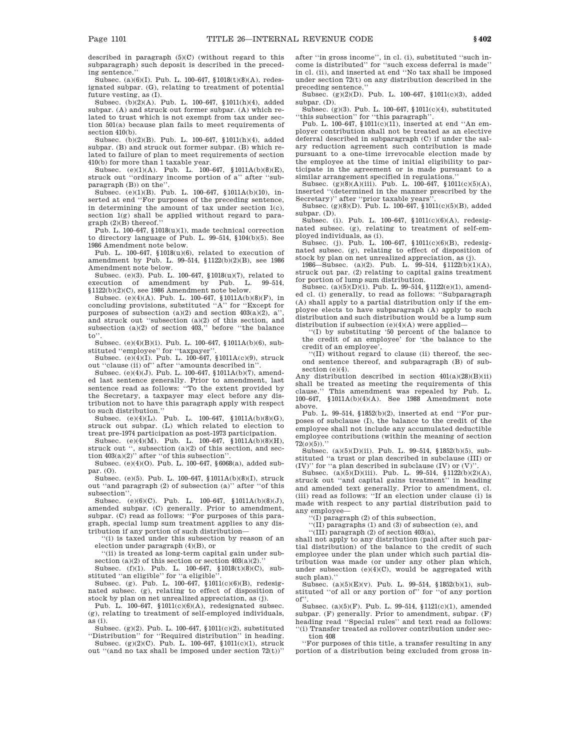described in paragraph (5)(C) (without regard to this subparagraph) such deposit is described in the preceding sentence.''

Subsec. (a)(6)(I). Pub. L. 100–647, §1018(t)(8)(A), redesignated subpar. (G), relating to treatment of potential future vesting, as (I).

Subsec. (b)(2)(A). Pub. L. 100–647, §1011(h)(4), added subpar. (A) and struck out former subpar. (A) which related to trust which is not exempt from tax under section 501(a) because plan fails to meet requirements of section 410(b).

Subsec. (b)(2)(B). Pub. L. 100–647, §1011(h)(4), added subpar. (B) and struck out former subpar. (B) which related to failure of plan to meet requirements of section 410(b) for more than 1 taxable year.

Subsec. (e)(1)(A). Pub. L. 100–647, §1011A(b)(8)(E), struck out ''ordinary income portion of a'' after ''subparagraph (B)) on the'

Subsec. (e)(1)(B). Pub. L. 100–647, §1011A(b)(10), inserted at end ''For purposes of the preceding sentence, in determining the amount of tax under section 1(c), section 1(g) shall be applied without regard to paragraph (2)(B) thereof.''

Pub. L. 100–647,  $$1018(u)(1)$ , made technical correction to directory language of Pub. L. 99–514, §104(b)(5). See 1986 Amendment note below.

Pub. L. 100–647, §1018(u)(6), related to execution of amendment by Pub. L. 99–514, §1122(b)(2)(B), see 1986 Amendment note below.

Subsec. (e)(3). Pub. L. 100–647, §1018(u)(7), related to execution of amendment by Pub. L. 99–514, §1122(b)(2)(C), see 1986 Amendment note below.

Subsec. (e)(4)(A). Pub. L. 100–647, §1011A(b)(8)(F), in concluding provisions, substituted ''A'' for ''Except for purposes of subsection (a)(2) and section  $403(a)(2)$ , a'', and struck out ''subsection (a)(2) of this section, and subsection (a)(2) of section 403,'' before ''the balance to'

Subsec. (e)(4)(B)(i). Pub. L. 100–647, §1011A(b)(6), substituted ''employee'' for ''taxpayer''.

Subsec. (e)(4)(I). Pub. L. 100–647, §1011A(c)(9), struck out ''clause (ii) of'' after ''amounts described in''.

Subsec. (e)(4)(J). Pub. L. 100–647, §1011A(b)(7), amended last sentence generally. Prior to amendment, last sentence read as follows: ''To the extent provided by the Secretary, a taxpayer may elect before any distribution not to have this paragraph apply with respect to such distribution.''

Subsec. (e)(4)(L). Pub. L. 100–647, §1011A(b)(8)(G), struck out subpar. (L) which related to election to treat pre-1974 participation as post-1973 participation.

 ${\tt Subsec.} \quad (e)(4)(M). \quad {\tt Pub.} \quad {\tt L.} \quad 100-647, \quad \S\,1011A(b)(8)(H),$ struck out '', subsection (a)(2) of this section, and section 403(a)(2)'' after ''of this subsection''.

Subsec. (e)(4)(O). Pub. L. 100–647, §6068(a), added subpar. (O).

Subsec. (e)(5). Pub. L. 100–647, §1011A(b)(8)(I), struck out ''and paragraph (2) of subsection (a)'' after ''of this subsection''.

Subsec. (e)(6)(C). Pub. L.  $100-647$ ,  $$1011A(b)(8)(J)$ , amended subpar. (C) generally. Prior to amendment, subpar. (C) read as follows: ''For purposes of this paragraph, special lump sum treatment applies to any distribution if any portion of such distribution—

''(i) is taxed under this subsection by reason of an election under paragraph (4)(B), or

''(ii) is treated as long-term capital gain under subsection  $(a)(2)$  of this section or section  $403(a)(2)$ .'

Subsec. (f)(1). Pub. L. 100–647, §1018(t)(8)(C), substituted ''an eligible'' for ''a eligible''.

Subsec. (g). Pub. L. 100–647, §1011(c)(6)(B), redesignated subsec. (g), relating to effect of disposition of stock by plan on net unrealized appreciation, as (j).

Pub. L. 100-647,  $$1011(c)(6)(A)$ , redesignated subsec. (g), relating to treatment of self-employed individuals, as (i).

Subsec. (g)(2). Pub. L. 100–647, §1011(c)(2), substituted ''Distribution'' for ''Required distribution'' in heading. Subsec. (g)(2)(C). Pub. L. 100–647, §1011(c)(1), struck

out "(and no tax shall be imposed under section  $72(t)$ )"

after ''in gross income'', in cl. (i), substituted ''such income is distributed'' for ''such excess deferral is made'' in cl. (ii), and inserted at end ''No tax shall be imposed under section 72(t) on any distribution described in the preceding sentence.''

Subsec. (g)(2)(D). Pub. L. 100–647, §1011(c)(3), added subpar. (D).

Subsec. (g)(3). Pub. L. 100–647, §1011(c)(4), substituted 'this subsection" for "this paragraph"

Pub. L. 100–647, §1011(c)(11), inserted at end ''An employer contribution shall not be treated as an elective deferral described in subparagraph (C) if under the salary reduction agreement such contribution is made pursuant to a one-time irrevocable election made by the employee at the time of initial eligibility to participate in the agreement or is made pursuant to a similar arrangement specified in regulations.''

Subsec.  $(g)(8)(A)(iii)$ . Pub. L. 100–647, §1011(c)(5)(A), inserted ''(determined in the manner prescribed by the

Secretary)'' after ''prior taxable years''. Subsec. (g)(8)(D). Pub. L. 100–647, §1011(c)(5)(B), added subpar. (D).

Subsec. (i). Pub. L. 100–647, §1011(c)(6)(A), redesignated subsec. (g), relating to treatment of self-employed individuals, as (i).

Subsec. (j). Pub. L. 100–647, §1011(c)(6)(B), redesignated subsec. (g), relating to effect of disposition of stock by plan on net unrealized appreciation, as (j). 1986—Subsec. (a)(2). Pub. L. 99–514, §1122(b)(1)(A),

struck out par. (2) relating to capital gains treatment for portion of lump sum distribution.

Subsec. (a)(5)(D)(i). Pub. L. 99–514, §1122(e)(1), amended cl. (i) generally, to read as follows: ''Subparagraph (A) shall apply to a partial distribution only if the employee elects to have subparagraph (A) apply to such distribution and such distribution would be a lump sum distribution if subsection  $(e)(4)(A)$  were applied-

''(I) by substituting '50 percent of the balance to the credit of an employee' for 'the balance to the credit of an employee'

''(II) without regard to clause (ii) thereof, the second sentence thereof, and subparagraph (B) of subsection (e)(4).

Any distribution described in section 401(a)(28)(B)(ii) shall be treated as meeting the requirements of this clause.'' This amendment was repealed by Pub. L. 100–647, §1011A(b)(4)(A). See 1988 Amendment note above.

Pub. L. 99–514, §1852(b)(2), inserted at end ''For purposes of subclause (I), the balance to the credit of the employee shall not include any accumulated deductible employee contributions (within the meaning of section 72(*o*)(5)).''

Subsec. (a)(5)(D)(ii). Pub. L. 99–514, §1852(b)(5), substituted ''a trust or plan described in subclause (III) or (IV)" for "a plan described in subclause (IV) or  $(V)$ "

Subsec. (a)(5)(D)(iii). Pub. L. 99–514, §1122(b)(2)(A), struck out ''and capital gains treatment'' in heading and amended text generally. Prior to amendment, cl. (iii) read as follows: ''If an election under clause (i) is made with respect to any partial distribution paid to any employee—

''(I) paragraph (2) of this subsection,

''(II) paragraphs (1) and (3) of subsection (e), and

''(III) paragraph (2) of section 403(a),

shall not apply to any distribution (paid after such partial distribution) of the balance to the credit of such employee under the plan under which such partial distribution was made (or under any other plan which, under subsection  $(e)(4)(C)$ , would be aggregated with such plan).'

Subsec. (a)(5)(E)(v). Pub. L. 99–514, §1852(b)(1), substituted ''of all or any portion of'' for ''of any portion of''.

Subsec. (a)(5)(F). Pub. L. 99–514, §1121(c)(1), amended subpar. (F) generally. Prior to amendment, subpar. (F) heading read ''Special rules'' and text read as follows: ''(i) Transfer treated as rollover contribution under sec-

tion 408 ''For purposes of this title, a transfer resulting in any

portion of a distribution being excluded from gross in-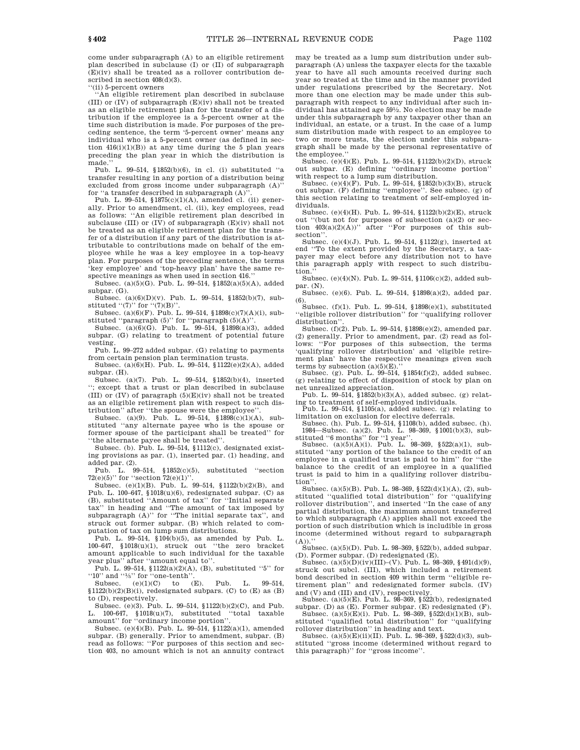come under subparagraph (A) to an eligible retirement plan described in subclause (I) or (II) of subparagraph  $(E)(iv)$  shall be treated as a rollover contribution described in section  $408(d)(3)$ .

''(ii) 5-percent owners

''An eligible retirement plan described in subclause (III) or (IV) of subparagraph (E)(iv) shall not be treated as an eligible retirement plan for the transfer of a distribution if the employee is a 5-percent owner at the time such distribution is made. For purposes of the preceding sentence, the term '5-percent owner' means any individual who is a 5-percent owner (as defined in section  $416(i)(1)(B)$  at any time during the 5 plan years preceding the plan year in which the distribution is made.''

Pub. L. 99–514, §1852(b)(6), in cl. (i) substituted ''a transfer resulting in any portion of a distribution being excluded from gross income under subparagraph  $(A)$ ' for "a transfer described in subparagraph (A)"

Pub. L. 99–514, §1875(c)(1)(A), amended cl. (ii) generally. Prior to amendment, cl. (ii), key employees, read as follows: ''An eligible retirement plan described in subclause (III) or  $(\overline{IV})$  of subparagraph  $(E)(iv)$  shall not be treated as an eligible retirement plan for the transfer of a distribution if any part of the distribution is attributable to contributions made on behalf of the employee while he was a key employee in a top-heavy plan. For purposes of the preceding sentence, the terms 'key employee' and 'top-heavy plan' have the same respective meanings as when used in section 416.

Subsec. (a)(5)(G). Pub. L. 99–514, §1852(a)(5)(A), added subpar. (G).

Subsec. (a)(6)(D)(v). Pub. L. 99–514, §1852(b)(7), substituted  $((7)$ " for  $((7)(B)$ ".

Subsec. (a)(6)(F). Pub. L. 99–514, §1898(c)(7)(A)(i), sub-

stituted ''paragraph (5)'' for ''paragraph (5)(A)''. Subsec. (a)(6)(G). Pub. L. 99–514, §1898(a)(3), added subpar. (G) relating to treatment of potential future vesting.

Pub. L. 99–272 added subpar. (G) relating to payments from certain pension plan termination trusts.

Subsec. (a)(6)(H). Pub. L. 99–514, §1122(e)(2)(A), added subpar. (H).

Subsec. (a)(7). Pub. L. 99–514, §1852(b)(4), inserted ''; except that a trust or plan described in subclause (III) or  $(IV)$  of paragraph  $(5)(E)(iv)$  shall not be treated as an eligible retirement plan with respect to such distribution'' after ''the spouse were the employee''.

Subsec. (a)(9). Pub. L. 99–514, §1898(c)(1)(A), substituted ''any alternate payee who is the spouse or former spouse of the participant shall be treated'' for ''the alternate payee shall be treated''.

Subsec. (b). Pub. L. 99–514, §1112(c), designated existing provisions as par. (1), inserted par. (1) heading, and added par. (2).

Pub. L. 99–514, §1852(c)(5), substituted ''section  $72(e)(5)$ " for "section  $72(e)(1)$ ".

Subsec. (e)(1)(B). Pub. L. 99–514, §1122(b)(2)(B), and Pub. L. 100–647, §1018(u)(6), redesignated subpar. (C) as (B), substituted ''Amount of tax'' for ''Initial separate tax'' in heading and ''The amount of tax imposed by subparagraph (A)" for "The initial separate tax", and struck out former subpar. (B) which related to computation of tax on lump sum distributions.

Pub. L. 99–514, §104(b)(5), as amended by Pub. L. 100–647, §1018(u)(1), struck out ''the zero bracket amount applicable to such individual for the taxable year plus'' after ''amount equal to''.

Pub. L. 99-514,  $1122(a)(2)(A)$ , (B), substituted "5" for "10" and "1/5" for "one-tenth".

Subsec.  $(e)(1)(C)$  to  $(E)$ . Pub. L. 99-514,  $§1122(b)(2)(B)(i)$ , redesignated subpars. (C) to (E) as (B) to (D), respectively.

Subsec. (e)(3). Pub. L. 99–514, §1122(b)(2)(C), and Pub. L. 100-647, §1018(u)(7), substituted ''total taxable amount'' for ''ordinary income portion''.

Subsec. (e)(4)(B). Pub. L. 99–514, §1122(a)(1), amended subpar. (B) generally. Prior to amendment, subpar. (B) read as follows: "For purposes of this section and section 403, no amount which is not an annuity contract may be treated as a lump sum distribution under subparagraph (A) unless the taxpayer elects for the taxable year to have all such amounts received during such year so treated at the time and in the manner provided under regulations prescribed by the Secretary. Not more than one election may be made under this subparagraph with respect to any individual after such individual has attained age 591 ⁄2. No election may be made under this subparagraph by any taxpayer other than an individual, an estate, or a trust. In the case of a lump sum distribution made with respect to an employee to two or more trusts, the election under this subparagraph shall be made by the personal representative of the employee.''

Subsec. (e)(4)(E). Pub. L. 99–514, §1122(b)(2)(D), struck out subpar. (E) defining ''ordinary income portion''

with respect to a lump sum distribution. Subsec. (e)(4)(F). Pub. L. 99–514, §1852(b)(3)(B), struck out subpar. (F) defining ''employee''. See subsec. (g) of this section relating to treatment of self-employed individuals.

Subsec. (e)(4)(H). Pub. L. 99–514, §1122(b)(2)(E), struck out "(but not for purposes of subsection  $(a)(2)$  or section  $403(a)(2)(A))$ " after "For purposes of this subsection''.

Subsec. (e)(4)(J). Pub. L. 99–514, §1122(g), inserted at end ''To the extent provided by the Secretary, a taxpayer may elect before any distribution not to have this paragraph apply with respect to such distribution.

Subsec. (e)(4)(N). Pub. L. 99–514, §1106(c)(2), added subpar. (N).

Subsec. (e)(6). Pub. L. 99–514, §1898(a)(2), added par. (6).

Subsec. (f)(1). Pub. L. 99–514, §1898(e)(1), substituted ''eligible rollover distribution'' for ''qualifying rollover distribution''.

Subsec. (f)(2). Pub. L. 99–514, §1898(e)(2), amended par. (2) generally. Prior to amendment, par. (2) read as follows: ''For purposes of this subsection, the terms 'qualifying rollover distribution' and 'eligible retire-ment plan' have the respective meanings given such

terms by subsection  $(a)(5)(E)$ ."<br>Subsec. (g). Pub. L. 99–514, §1854(f)(2), added subsec. (g) relating to effect of disposition of stock by plan on

net unrealized appreciation. Pub. L. 99–514, §1852(b)(3)(A), added subsec. (g) relating to treatment of self-employed individuals.

Pub. L. 99–514, §1105(a), added subsec. (g) relating to

limitation on exclusion for elective deferrals. Subsec. (h). Pub. L. 99–514, §1108(b), added subsec. (h). 1984—Subsec. (a)(2). Pub. L. 98–369, §1001(b)(3), sub-

stituted "6 months" for "1 year".<br>Subsec.  $(a)(5)(A)(i)$ . Pub. L. 98-369, §522 $(a)(1)$ , substituted ''any portion of the balance to the credit of an employee in a qualified trust is paid to him'' for ''the balance to the credit of an employee in a qualified trust is paid to him in a qualifying rollover distribution''.

Subsec. (a)(5)(B). Pub. L. 98–369, §522(d)(1)(A), (2), substituted ''qualified total distribution'' for ''qualifying rollover distribution'', and inserted ''In the case of any partial distribution, the maximum amount transferred to which subparagraph (A) applies shall not exceed the portion of such distribution which is includible in gross income (determined without regard to subparagraph  $(A)).$ 

Subsec. (a)(5)(D). Pub. L. 98–369, §522(b), added subpar. (D). Former subpar. (D) redesignated (E).

Subsec.  $(a)(5)(D)(iv)(III)$ –(V). Pub. L. 98–369, §491(d)(9), struck out subcl. (III), which included a retirement bond described in section 409 within term ''eligible retirement plan'' and redesignated former subcls. (IV) and (V) and (III) and (IV), respectively. Subsec. (a)(5)(E). Pub. L. 98–369, §522(b), redesignated

subpar. (D) as (E). Former subpar. (E) redesignated (F).

Subsec. (a) $(5)(E)(i)$ . Pub. L. 98-369, §522 $(d)(1)(B)$ , substituted ''qualified total distribution'' for ''qualifying rollover distribution'' in heading and text.

Subsec. (a)(5)(E)(ii)(II). Pub. L. 98–369, §522(d)(3), substituted ''gross income (determined without regard to this paragraph)'' for ''gross income''.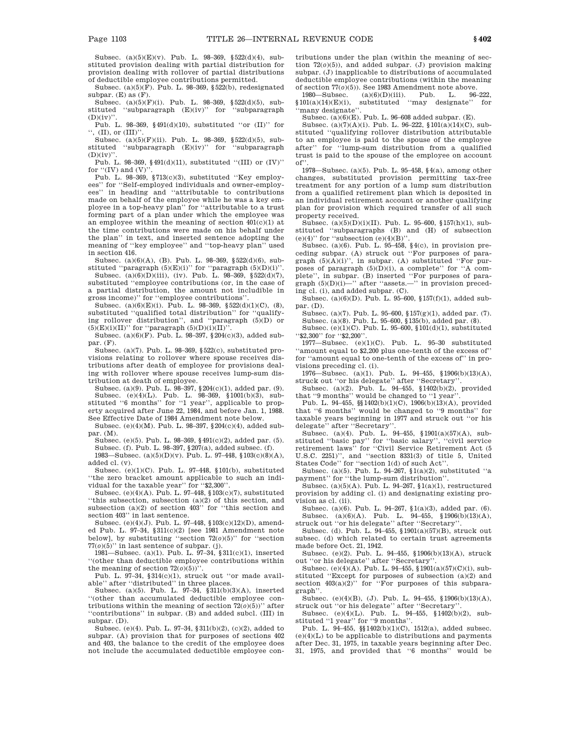Subsec. (a)(5)(E)(v). Pub. L. 98–369, §522(d)(4), substituted provision dealing with partial distribution for provision dealing with rollover of partial distributions of deductible employee contributions permitted.

Subsec.  $(a)(5)(\overline{F})$ . Pub. L. 98-369, §522(b), redesignated subpar. (E) as (F).

Subsec. (a)(5)(F)(i). Pub. L. 98–369, §522(d)(5), substituted ''subparagraph (E)(iv)'' for ''subparagraph  $(D)(iv)$ 

Pub. L. 98–369, §491(d)(10), substituted ''or (II)'' for  $\lq\lq,$  (II), or (III)'

Subsec. (a)(5)(F)(ii). Pub. L. 98–369, §522(d)(5), substituted ''subparagraph (E)(iv)'' for ''subparagraph  $(D)(iv)'$ 

Pub. L. 98–369, §491(d)(11), substituted ''(III) or (IV)'' for  $``(IV)$  and  $(V)"$ 

Pub. L. 98-369, §713(c)(3), substituted "Key employees'' for ''Self-employed individuals and owner-employees'' in heading and ''attributable to contributions made on behalf of the employee while he was a key employee in a top-heavy plan'' for ''attributable to a trust forming part of a plan under which the employee was an employee within the meaning of section 401(c)(1) at the time contributions were made on his behalf under the plan'' in text, and inserted sentence adopting the meaning of ''key employee'' and ''top-heavy plan'' used in section 416.

Subsec. (a)(6)(A), (B). Pub. L. 98–369, §522(d)(6), substituted "paragraph  $(5)(E)(i)$ " for "paragraph  $(5)(D)(i)$ ".<br>Subsec.  $(a)(6)(D)(iii)$ , (iv). Pub. L. 98–369, §522(d)(7),

substituted ''employee contributions (or, in the case of a partial distribution, the amount not includible in gross income)'' for ''employee contributions''.

Subsec. (a) $(6)(E)(i)$ . Pub. L. 98-369, §522 $(d)(1)(C)$ ,  $(8)$ , substituted "qualified total distribution" for "qualifying rollover distribution'', and ''paragraph (5)(D) or  $(5)(E)(i)(II)'$  for "paragraph  $(5)(D)(i)(II)$ ".

Subsec. (a)(6)(F). Pub. L. 98–397, §204(c)(3), added subpar. (F).

Subsec. (a)(7). Pub. L. 98–369, §522(c), substituted provisions relating to rollover where spouse receives distributions after death of employee for provisions dealing with rollover where spouse receives lump-sum distribution at death of employee.

Subsec. (a)(9). Pub. L. 98–397, §204(c)(1), added par. (9). Subsec. (e)(4)(L). Pub. L. 98–369, §1001(b)(3), substituted ''6 months'' for ''1 year'', applicable to property acquired after June 22, 1984, and before Jan. 1, 1988. See Effective Date of 1984 Amendment note below.

Subsec. (e)(4)(M). Pub. L. 98–397, §204(c)(4), added subpar. (M).

Subsec. (e)(5). Pub. L. 98–369, §491(c)(2), added par. (5). Subsec. (f). Pub. L. 98–397,  $\S 207(a)$ , added subsec. (f).

1983—Subsec. (a)(5)(D)(v). Pub. L. 97–448, §103(c)(8)(A), added cl. (v).

Subsec. (e)(1)(C). Pub. L. 97–448, §101(b), substituted ''the zero bracket amount applicable to such an individual for the taxable year" for "\$2,300".

Subsec. (e)(4)(A). Pub. L. 97-448,  $$103(c)(7)$ , substituted ''this subsection, subsection (a)(2) of this section, and subsection  $(a)(2)$  of section 403<sup>°</sup> for "this section and section 403'' in last sentence.

Subsec. (e)(4)(J). Pub. L. 97–448, §103(c)(12)(D), amended Pub. L. 97–34, §311(c)(2) [see 1981 Amendment note below], by substituting ''section 72(*o*)(5)'' for ''section  $77(0)(5)$ " in last sentence of subpar. (j).

1981—Subsec. (a)(1). Pub. L. 97–34, §311(c)(1), inserted ''(other than deductible employee contributions within the meaning of section  $72(0)(5)$ <sup>"</sup>.

Pub. L. 97–34, §314(c)(1), struck out ''or made available'' after ''distributed'' in three places.

Subsec. (a)(5). Pub. L. 97–34, §311(b)(3)(A), inserted ''(other than accumulated deductible employee contributions within the meaning of section  $72\overline{(o)}$ (5))<sup>'</sup> after ''contributions'' in subpar. (B) and added subcl. (III) in subpar. (D).

Subsec. (e)(4). Pub. L. 97–34, §311(b)(2), (c)(2), added to subpar. (A) provision that for purposes of sections 402 and 403, the balance to the credit of the employee does not include the accumulated deductible employee contributions under the plan (within the meaning of section 72(*o*)(5)), and added subpar. (J) provision making subpar. (J) inapplicable to distributions of accumulated deductible employee contributions (within the meaning of section  $77(0)(5)$ ). See 1983 Amendment note above.<br>1980—Subsec. (a)(6)(D)(iii). Pub. L. 96–222,

1980—Subsec. (a)(6)(D)(iii).<br>§101(a)(14)(E)(i), substituted substituted "may designate" for ''many designate''.

Subsec. (a)(6)(E). Pub. L. 96–608 added subpar. (E).

Subsec. (a)(7)(A)(i). Pub. L. 96–222, §101(a)(14)(C), substituted ''qualifying rollover distribution attributable to an employee is paid to the spouse of the employee after'' for ''lump-sum distribution from a qualified trust is paid to the spouse of the employee on account of''.

1978—Subsec. (a)(5). Pub. L. 95–458, §4(a), among other changes, substituted provision permitting tax-free treatment for any portion of a lump sum distribution from a qualified retirement plan which is deposited in an individual retirement account or another qualifying plan for provision which required transfer of all such property received.

Subsec.  $(a)(5)(D)(i)(II)$ . Pub. L. 95–600, §157(h)(1), substituted ''subparagraphs (B) and (H) of subsection (e)(4)" for "subsection  $(e)(4)(B)'$ .

Subsec. (a)(6). Pub. L. 95-458,  $\S(4c)$ , in provision preceding subpar. (A) struck out ''For purposes of paragraph  $(5)(A)(i)$ ", in subpar. (A) substituted "For purposes of paragraph (5)(D)(i), a complete'' for ''A complete'', in subpar. (B) inserted ''For purposes of paragraph (5)(D)(i)—'' after ''assets.—'' in provision preceding cl. (i), and added subpar. (C).

Subsec. (a)(6)(D). Pub. L. 95–600, §157(f)(1), added subpar. (D).

Subsec. (a)(7). Pub. L. 95–600, §157(g)(1), added par. (7). Subsec. (a)(8). Pub. L. 95–600, §135(b), added par. (8).

Subsec. (e)(1)(C). Pub. L. 95–600, §101(d)(1), substituted  $\cdot$ \$2,300" for  $\cdot$  \$2,200".

1977—Subsec. (e)(1)(C). Pub. L. 95–30 substituted ''amount equal to \$2,200 plus one-tenth of the excess of'' for ''amount equal to one-tenth of the excess of'' in provisions preceding cl. (i).

1976—Subsec. (a)(1). Pub. L. 94–455, §1906(b)(13)(A), struck out ''or his delegate'' after ''Secretary''.

Subsec. (a)(2). Pub. L. 94–455, §1402(b)(2), provided that ''9 months'' would be changed to ''1 year''.

Pub. L. 94–455, §§1402(b)(1)(C), 1906(b)(13)(A), provided that ''6 months'' would be changed to ''9 months'' for taxable years beginning in 1977 and struck out ''or his

delegate" after "Secretary".<br>Subsec. (a)(4). Pub. L. 94–455, §1901(a)(57)(A), substituted ''basic pay'' for ''basic salary'', ''civil service retirement laws'' for ''Civil Service Retirement Act (5 U.S.C. 2251)'', and ''section 8331(3) of title 5, United States Code'' for ''section 1(d) of such Act''.

Subsec. (a)(5). Pub. L. 94–267, §1(a)(2), substituted ''a payment'' for ''the lump-sum distribution''.

Subsec. (a)(5)(A). Pub. L. 94–267,  $(1(a)(1))$ , restructured provision by adding cl. (i) and designating existing provision as cl. (ii).

Subsec. (a)(6). Pub. L. 94–267, §1(a)(3), added par. (6). Subsec. (a) $(6)(A)$ . Pub. L. 94–455, §1906 $(b)(13)(A)$ , struck out ''or his delegate'' after ''Secretary''.

Subsec. (d). Pub. L. 94–455, §1901(a)(57)(B), struck out subsec. (d) which related to certain trust agreements made before Oct. 21, 1942.

Subsec. (e)(2). Pub. L. 94–455, §1906(b)(13)(A), struck out ''or his delegate'' after ''Secretary''.

Subsec. (e)(4)(A). Pub. L. 94–455, §1901(a)(57)(C)(i), substituted ''Except for purposes of subsection (a)(2) and section  $403(a)(2)$ " for "For purposes of this subparagraph''.

Subsec. (e)(4)(B), (J). Pub. L. 94–455, §1906(b)(13)(A), struck out ''or his delegate'' after ''Secretary''.

Subsec.  $(e)(4)(L)$ . Pub. L. 94–455, §1402(b)(2), substituted "1 year" for "9 months"

Pub. L. 94–455, §§1402(b)(1)(C), 1512(a), added subsec.  $(e)(4)(L)$  to be applicable to distributions and payments after Dec. 31, 1975, in taxable years beginning after Dec. 31, 1975, and provided that ''6 months'' would be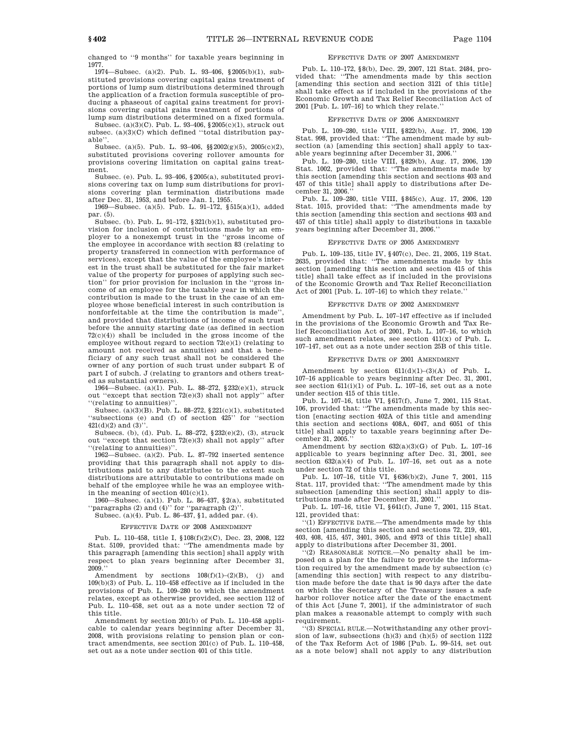changed to ''9 months'' for taxable years beginning in 1977.

1974—Subsec. (a)(2). Pub. L. 93–406, §2005(b)(1), substituted provisions covering capital gains treatment of portions of lump sum distributions determined through the application of a fraction formula susceptible of producing a phaseout of capital gains treatment for provisions covering capital gains treatment of portions of lump sum distributions determined on a fixed formula.

Subsec. (a)(3)(C). Pub. L. 93–406, §2005(c)(1), struck out subsec. (a)(3)(C) which defined ''total distribution payable''.

Subsec. (a)(5). Pub. L. 93–406, §§2002(g)(5), 2005(c)(2), substituted provisions covering rollover amounts for provisions covering limitation on capital gains treatment.

Subsec. (e). Pub. L. 93–406, §2005(a), substituted provisions covering tax on lump sum distributions for provisions covering plan termination distributions made after Dec. 31, 1953, and before Jan. 1, 1955.

1969—Subsec. (a)(5). Pub. L. 91–172, §515(a)(1), added par. (5).

Subsec. (b). Pub. L. 91–172, §321(b)(1), substituted provision for inclusion of contributions made by an employer to a nonexempt trust in the ''gross income of the employee in accordance with section 83 (relating to property transferred in connection with performance of services), except that the value of the employee's interest in the trust shall be substituted for the fair market value of the property for purposes of applying such section'' for prior provision for inclusion in the ''gross income of an employee for the taxable year in which the contribution is made to the trust in the case of an employee whose beneficial interest in such contribution is nonforfeitable at the time the contribution is made'', and provided that distributions of income of such trust before the annuity starting date (as defined in section  $72(c)(4)$ ) shall be included in the gross income of the employee without regard to section 72(e)(1) (relating to amount not received as annuities) and that a beneficiary of any such trust shall not be considered the owner of any portion of such trust under subpart E of part I of subch. J (relating to grantors and others treated as substantial owners).

1964—Subsec. (a)(1). Pub. L. 88–272, §232(e)(1), struck out ''except that section 72(e)(3) shall not apply'' after ''(relating to annuities)''.

Subsec. (a)(3)(B). Pub. L. 88–272, §221(c)(1), substituted ''subsections (e) and (f) of section 425'' for ''section  $421(d)(2)$  and  $(3)'$ 

Subsecs. (b), (d). Pub. L. 88–272, §232(e)(2), (3), struck out ''except that section 72(e)(3) shall not apply'' after ''(relating to annuities)''.

1962—Subsec. (a)(2). Pub. L. 87–792 inserted sentence providing that this paragraph shall not apply to distributions paid to any distributee to the extent such distributions are attributable to contributions made on behalf of the employee while he was an employee within the meaning of section 401(c)(1).

1960—Subsec. (a)(1). Pub. L. 86–437, §2(a), substituted "paragraphs  $(2)$  and  $(4)$ " for "paragraph  $(2)$ "

# Subsec. (a)(4). Pub. L. 86–437, §1, added par. (4).

#### EFFECTIVE DATE OF 2008 AMENDMENT

Pub. L. 110–458, title I, §108(f)(2)(C), Dec. 23, 2008, 122 Stat. 5109, provided that: ''The amendments made by this paragraph [amending this section] shall apply with respect to plan years beginning after December 31,  $2009$ 

Amendment by sections  $108(f)(1)-(2)(B)$ , (j) and  $109(b)(3)$  of Pub. L. 110–458 effective as if included in the provisions of Pub. L. 109–280 to which the amendment relates, except as otherwise provided, see section 112 of Pub. L. 110–458, set out as a note under section 72 of this title.

Amendment by section 201(b) of Pub. L. 110–458 applicable to calendar years beginning after December 31, 2008, with provisions relating to pension plan or contract amendments, see section 201(c) of Pub. L. 110–458, set out as a note under section 401 of this title.

#### EFFECTIVE DATE OF 2007 AMENDMENT

Pub. L. 110–172, §8(b), Dec. 29, 2007, 121 Stat. 2484, provided that: ''The amendments made by this section [amending this section and section 3121 of this title] shall take effect as if included in the provisions of the Economic Growth and Tax Relief Reconciliation Act of 2001 [Pub. L. 107–16] to which they relate.''

#### EFFECTIVE DATE OF 2006 AMENDMENT

Pub. L. 109–280, title VIII, §822(b), Aug. 17, 2006, 120 Stat. 998, provided that: ''The amendment made by subsection (a) [amending this section] shall apply to taxable years beginning after December 31, 2006.''

Pub. L. 109–280, title VIII, §829(b), Aug. 17, 2006, 120 Stat. 1002, provided that: ''The amendments made by this section [amending this section and sections 403 and 457 of this title] shall apply to distributions after December 31, 2006.''

Pub. L. 109–280, title VIII, §845(c), Aug. 17, 2006, 120 Stat. 1015, provided that: ''The amendments made by this section [amending this section and sections 403 and 457 of this title] shall apply to distributions in taxable years beginning after December 31, 2006.''

#### EFFECTIVE DATE OF 2005 AMENDMENT

Pub. L. 109–135, title IV, §407(c), Dec. 21, 2005, 119 Stat. 2635, provided that: ''The amendments made by this section [amending this section and section 415 of this title] shall take effect as if included in the provisions of the Economic Growth and Tax Relief Reconciliation Act of 2001 [Pub. L. 107–16] to which they relate.''

#### EFFECTIVE DATE OF 2002 AMENDMENT

Amendment by Pub. L. 107–147 effective as if included in the provisions of the Economic Growth and Tax Relief Reconciliation Act of 2001, Pub. L. 107–16, to which such amendment relates, see section 411(x) of Pub. L. 107–147, set out as a note under section 25B of this title.

#### EFFECTIVE DATE OF 2001 AMENDMENT

Amendment by section  $611(d)(1)-(3)(A)$  of Pub. L. 107–16 applicable to years beginning after Dec. 31, 2001, see section 611(i)(1) of Pub. L. 107–16, set out as a note under section 415 of this title.

Pub. L. 107–16, title VI, §617(f), June 7, 2001, 115 Stat. 106, provided that: ''The amendments made by this section [enacting section 402A of this title and amending this section and sections 408A, 6047, and 6051 of this title] shall apply to taxable years beginning after December 31, 2005.''

Amendment by section 632(a)(3)(G) of Pub. L. 107–16 applicable to years beginning after Dec. 31, 2001, see section  $632(a)(4)$  of Pub. L. 107-16, set out as a note under section 72 of this title.

Pub. L. 107–16, title VI, §636(b)(2), June 7, 2001, 115 Stat. 117, provided that: ''The amendment made by this subsection [amending this section] shall apply to distributions made after December 31, 2001.''

Pub. L. 107–16, title VI, §641(f), June 7, 2001, 115 Stat. 121, provided that:

''(1) EFFECTIVE DATE.—The amendments made by this section [amending this section and sections 72, 219, 401, 403, 408, 415, 457, 3401, 3405, and 4973 of this title] shall apply to distributions after December 31, 2001.

(2) REASONABLE NOTICE.—No penalty shall be imposed on a plan for the failure to provide the information required by the amendment made by subsection (c) [amending this section] with respect to any distribution made before the date that is 90 days after the date on which the Secretary of the Treasury issues a safe harbor rollover notice after the date of the enactment of this Act [June 7, 2001], if the administrator of such plan makes a reasonable attempt to comply with such requirement.

''(3) SPECIAL RULE.—Notwithstanding any other provision of law, subsections (h)(3) and (h)(5) of section 1122 of the Tax Reform Act of 1986 [Pub. L. 99–514, set out as a note below] shall not apply to any distribution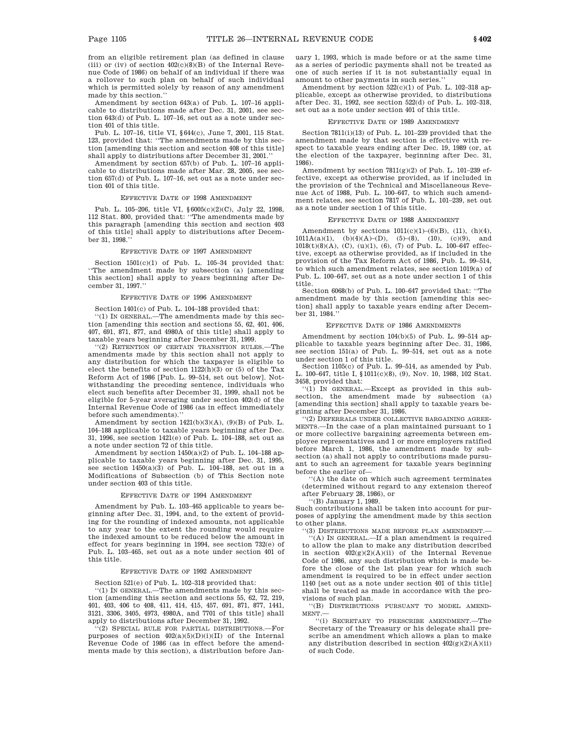from an eligible retirement plan (as defined in clause (iii) or (iv) of section  $402(c)(8)(B)$  of the Internal Revenue Code of 1986) on behalf of an individual if there was a rollover to such plan on behalf of such individual which is permitted solely by reason of any amendment made by this section.''

Amendment by section 643(a) of Pub. L. 107–16 applicable to distributions made after Dec. 31, 2001, see section 643(d) of Pub. L. 107–16, set out as a note under section 401 of this title.

Pub. L. 107–16, title VI, §644(c), June 7, 2001, 115 Stat. 123, provided that: ''The amendments made by this section [amending this section and section 408 of this title] shall apply to distributions after December 31, 2001.''

Amendment by section 657(b) of Pub. L. 107–16 applicable to distributions made after Mar. 28, 2005, see section 657(d) of Pub. L. 107–16, set out as a note under section 401 of this title.

#### EFFECTIVE DATE OF 1998 AMENDMENT

Pub. L. 105–206, title VI, §6005(c)(2)(C), July 22, 1998, 112 Stat. 800, provided that: ''The amendments made by this paragraph [amending this section and section 403 of this title] shall apply to distributions after December 31, 1998.''

#### EFFECTIVE DATE OF 1997 AMENDMENT

Section  $1501(c)(1)$  of Pub. L. 105-34 provided that: ''The amendment made by subsection (a) [amending this section] shall apply to years beginning after December 31, 1997.''

### EFFECTIVE DATE OF 1996 AMENDMENT

Section 1401(c) of Pub. L. 104–188 provided that: ''(1) IN GENERAL.—The amendments made by this section [amending this section and sections 55, 62, 401, 406,

407, 691, 871, 877, and 4980A of this title] shall apply to taxable years beginning after December 31, 1999. ''(2) RETENTION OF CERTAIN TRANSITION RULES.—The

amendments made by this section shall not apply to any distribution for which the taxpayer is eligible to elect the benefits of section 1122(h)(3) or (5) of the Tax Reform Act of 1986 [Pub. L. 99–514, set out below]. Notwithstanding the preceding sentence, individuals who elect such benefits after December 31, 1999, shall not be eligible for 5-year averaging under section 402(d) of the Internal Revenue Code of 1986 (as in effect immediately before such amendments).''

Amendment by section  $1421(b)(3)(A)$ ,  $(9)(B)$  of Pub. L. 104–188 applicable to taxable years beginning after Dec. 31, 1996, see section 1421(e) of Pub. L. 104–188, set out as a note under section 72 of this title.

Amendment by section  $1450(a)(2)$  of Pub. L. 104–188 applicable to taxable years beginning after Dec. 31, 1995, see section  $1450(a)(3)$  of Pub. L. 104–188, set out in a Modifications of Subsection (b) of This Section note under section 403 of this title.

### EFFECTIVE DATE OF 1994 AMENDMENT

Amendment by Pub. L. 103–465 applicable to years beginning after Dec. 31, 1994, and, to the extent of providing for the rounding of indexed amounts, not applicable to any year to the extent the rounding would require the indexed amount to be reduced below the amount in effect for years beginning in 1994, see section 732(e) of Pub. L. 103–465, set out as a note under section 401 of this title.

#### EFFECTIVE DATE OF 1992 AMENDMENT

Section 521(e) of Pub. L. 102–318 provided that:

''(1) IN GENERAL.—The amendments made by this section [amending this section and sections 55, 62, 72, 219, 401, 403, 406 to 408, 411, 414, 415, 457, 691, 871, 877, 1441, 3121, 3306, 3405, 4973, 4980A, and 7701 of this title] shall apply to distributions after December 31, 1992.

''(2) SPECIAL RULE FOR PARTIAL DISTRIBUTIONS.—For purposes of section 402(a)(5)(D)(i)(II) of the Internal Revenue Code of 1986 (as in effect before the amendments made by this section), a distribution before January 1, 1993, which is made before or at the same time as a series of periodic payments shall not be treated as one of such series if it is not substantially equal in amount to other payments in such series.''

Amendment by section 522(c)(1) of Pub. L. 102–318 applicable, except as otherwise provided, to distributions after Dec. 31, 1992, see section 522(d) of Pub. L. 102–318, set out as a note under section 401 of this title.

#### EFFECTIVE DATE OF 1989 AMENDMENT

Section 7811(i)(13) of Pub. L. 101–239 provided that the amendment made by that section is effective with respect to taxable years ending after Dec. 19, 1989 (or, at the election of the taxpayer, beginning after Dec. 31, 1986).

Amendment by section  $7811(g)(2)$  of Pub. L. 101–239 effective, except as otherwise provided, as if included in the provision of the Technical and Miscellaneous Revenue Act of 1988, Pub. L. 100–647, to which such amendment relates, see section 7817 of Pub. L. 101–239, set out as a note under section 1 of this title.

#### EFFECTIVE DATE OF 1988 AMENDMENT

Amendment by sections  $1011(c)(1)-(6)(B)$ , (11), (h)(4),  $1011A(a)(1), \quad (b)(4)(A)- (D), \quad (5)-(8), \quad (10), \quad (c)(9), \quad \text{and}$ 1018(t)(8)(A), (C), (u)(1), (6), (7) of Pub. L. 100–647 effective, except as otherwise provided, as if included in the provision of the Tax Reform Act of 1986, Pub. L. 99–514, to which such amendment relates, see section 1019(a) of Pub. L. 100–647, set out as a note under section 1 of this title.

Section 6068(b) of Pub. L. 100–647 provided that: ''The amendment made by this section [amending this section] shall apply to taxable years ending after December 31, 1984.

#### EFFECTIVE DATE OF 1986 AMENDMENTS

Amendment by section 104(b)(5) of Pub. L. 99–514 applicable to taxable years beginning after Dec. 31, 1986, see section 151(a) of Pub. L. 99–514, set out as a note under section 1 of this title.

Section 1105(c) of Pub. L. 99–514, as amended by Pub. L. 100–647, title I, §1011(c)(8), (9), Nov. 10, 1988, 102 Stat. 3458, provided that:

''(1) IN GENERAL.—Except as provided in this subsection, the amendment made by subsection (a) [amending this section] shall apply to taxable years beginning after December 31, 1986.

''(2) DEFERRALS UNDER COLLECTIVE BARGAINING AGREE-MENTS.—In the case of a plan maintained pursuant to 1 or more collective bargaining agreements between employee representatives and 1 or more employers ratified before March 1, 1986, the amendment made by subsection (a) shall not apply to contributions made pursuant to such an agreement for taxable years beginning before the earlier of—

''(A) the date on which such agreement terminates (determined without regard to any extension thereof after February 28, 1986), or

''(B) January 1, 1989.

visions of such plan.

Such contributions shall be taken into account for purposes of applying the amendment made by this section to other plans.

'(3) DISTRIBUTIONS MADE BEFORE PLAN AMENDMENT.  $(A)$  IN GENERAL.—If a plan amendment is required to allow the plan to make any distribution described in section  $402(g)(2)(A)(ii)$  of the Internal Revenue Code of 1986, any such distribution which is made before the close of the 1st plan year for which such amendment is required to be in effect under section 1140 [set out as a note under section 401 of this title] shall be treated as made in accordance with the pro-

''(B) DISTRIBUTIONS PURSUANT TO MODEL AMEND-MENT.

''(i) SECRETARY TO PRESCRIBE AMENDMENT.—The Secretary of the Treasury or his delegate shall prescribe an amendment which allows a plan to make any distribution described in section  $402(\text{g})(2)(\text{A})(\text{ii})$ of such Code.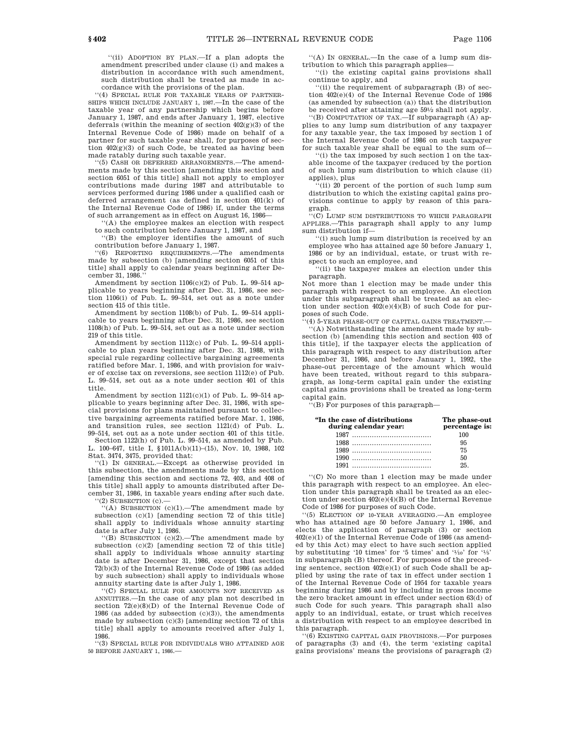''(ii) ADOPTION BY PLAN.—If a plan adopts the amendment prescribed under clause (i) and makes a distribution in accordance with such amendment, such distribution shall be treated as made in accordance with the provisions of the plan.

''(4) SPECIAL RULE FOR TAXABLE YEARS OF PARTNER-SHIPS WHICH INCLUDE JANUARY 1, 1987.—In the case of the taxable year of any partnership which begins before January 1, 1987, and ends after January 1, 1987, elective deferrals (within the meaning of section 402(g)(3) of the Internal Revenue Code of 1986) made on behalf of a partner for such taxable year shall, for purposes of section  $402(g)(3)$  of such Code, be treated as having been made ratably during such taxable year.

'(5) CASH OR DEFERRED ARRANGEMENTS. The amendments made by this section [amending this section and section 6051 of this title] shall not apply to employer contributions made during 1987 and attributable to services performed during 1986 under a qualified cash or deferred arrangement (as defined in section 401(k) of the Internal Revenue Code of 1986) if, under the terms of such arrangement as in effect on August 16, 1986—

''(A) the employee makes an election with respect to such contribution before January 1, 1987, and

''(B) the employer identifies the amount of such contribution before January 1, 1987.

''(6) REPORTING REQUIREMENTS.—The amendments made by subsection (b) [amending section 6051 of this title] shall apply to calendar years beginning after December 31, 1986.''

Amendment by section 1106(c)(2) of Pub. L. 99–514 applicable to years beginning after Dec. 31, 1986, see section 1106(i) of Pub. L. 99–514, set out as a note under section 415 of this title.

Amendment by section 1108(b) of Pub. L. 99–514 applicable to years beginning after Dec. 31, 1986, see section 1108(h) of Pub. L. 99–514, set out as a note under section 219 of this title.

Amendment by section 1112(c) of Pub. L. 99–514 applicable to plan years beginning after Dec. 31, 1988, with special rule regarding collective bargaining agreements ratified before Mar. 1, 1986, and with provision for waiver of excise tax on reversions, see section 1112(e) of Pub. L. 99–514, set out as a note under section 401 of this title.

Amendment by section 1121(c)(1) of Pub. L. 99–514 applicable to years beginning after Dec. 31, 1986, with special provisions for plans maintained pursuant to collective bargaining agreements ratified before Mar. 1, 1986, and transition rules, see section 1121(d) of Pub. L. 99–514, set out as a note under section 401 of this title.

Section 1122(h) of Pub. L. 99–514, as amended by Pub. L. 100–647, title I, §1011A(b)(11)–(15), Nov. 10, 1988, 102 Stat. 3474, 3475, provided that:

''(1) IN GENERAL.—Except as otherwise provided in this subsection, the amendments made by this section [amending this section and sections 72, 403, and 408 of this title] shall apply to amounts distributed after December 31, 1986, in taxable years ending after such date.  $'(2)$  SUBSECTION  $(c)$ .

''(A) SUBSECTION (c)(1).—The amendment made by subsection (c)(1) [amending section 72 of this title] shall apply to individuals whose annuity starting date is after July 1, 1986.

''(B) SUBSECTION (c)(2).—The amendment made by subsection (c)(2) [amending section 72 of this title] shall apply to individuals whose annuity starting date is after December 31, 1986, except that section 72(b)(3) of the Internal Revenue Code of 1986 (as added by such subsection) shall apply to individuals whose annuity starting date is after July 1, 1986.

''(C) SPECIAL RULE FOR AMOUNTS NOT RECEIVED AS ANNUITIES.—In the case of any plan not described in section 72(e)(8)(D) of the Internal Revenue Code of 1986 (as added by subsection (c)(3)), the amendments made by subsection  $(c)(3)$  [amending section 72 of this title] shall apply to amounts received after July 1, 1986.

''(3) SPECIAL RULE FOR INDIVIDUALS WHO ATTAINED AGE 50 BEFORE JANUARY 1, 1986.—

''(A) IN GENERAL.—In the case of a lump sum distribution to which this paragraph applies—

''(i) the existing capital gains provisions shall continue to apply, and

''(ii) the requirement of subparagraph (B) of section 402(e)(4) of the Internal Revenue Code of 1986 (as amended by subsection (a)) that the distribution be received after attaining age 591 ⁄2 shall not apply.

''(B) COMPUTATION OF TAX.—If subparagraph (A) applies to any lump sum distribution of any taxpayer for any taxable year, the tax imposed by section 1 of the Internal Revenue Code of 1986 on such taxpayer for such taxable year shall be equal to the sum of—

'(i) the tax imposed by such section 1 on the taxable income of the taxpayer (reduced by the portion of such lump sum distribution to which clause (ii) applies), plus

'(ii) 20 percent of the portion of such lump sum distribution to which the existing capital gains provisions continue to apply by reason of this paragraph.

''(C) LUMP SUM DISTRIBUTIONS TO WHICH PARAGRAPH APPLIES.—This paragraph shall apply to any lump sum distribution if—

''(i) such lump sum distribution is received by an employee who has attained age 50 before January 1, 1986 or by an individual, estate, or trust with respect to such an employee, and

''(ii) the taxpayer makes an election under this paragraph.

Not more than 1 election may be made under this paragraph with respect to an employee. An election under this subparagraph shall be treated as an election under section 402(e)(4)(B) of such Code for purposes of such Code.

''(4) 5-YEAR PHASE-OUT OF CAPITAL GAINS TREATMENT.— ''(A) Notwithstanding the amendment made by subsection (b) [amending this section and section 403 of this title], if the taxpayer elects the application of this paragraph with respect to any distribution after December 31, 1986, and before January 1, 1992, the phase-out percentage of the amount which would have been treated, without regard to this subparagraph, as long-term capital gain under the existing capital gains provisions shall be treated as long-term

capital gain.

''(B) For purposes of this paragraph—

| "In the case of distributions<br>during calendar year: | The phase-out<br>percentage is: |
|--------------------------------------------------------|---------------------------------|
|                                                        | 100                             |
|                                                        | 95                              |
|                                                        | 75                              |
|                                                        | 50                              |
|                                                        | 25                              |

''(C) No more than 1 election may be made under this paragraph with respect to an employee. An election under this paragraph shall be treated as an election under section 402(e)(4)(B) of the Internal Revenue Code of 1986 for purposes of such Code.

''(5) ELECTION OF 10-YEAR AVERAGING.—An employee who has attained age 50 before January 1, 1986, and elects the application of paragraph (3) or section 402(e)(1) of the Internal Revenue Code of 1986 (as amended by this Act) may elect to have such section applied by substituting '10 times' for '5 times' and ' $\frac{1}{10}$ ' for ' $\frac{1}{5}$ ' in subparagraph (B) thereof. For purposes of the preceding sentence, section  $402(e)(1)$  of such Code shall be applied by using the rate of tax in effect under section 1 of the Internal Revenue Code of 1954 for taxable years beginning during 1986 and by including in gross income the zero bracket amount in effect under section 63(d) of such Code for such years. This paragraph shall also apply to an individual, estate, or trust which receives a distribution with respect to an employee described in this paragraph.

''(6) EXISTING CAPITAL GAIN PROVISIONS.—For purposes of paragraphs (3) and (4), the term 'existing capital gains provisions' means the provisions of paragraph (2)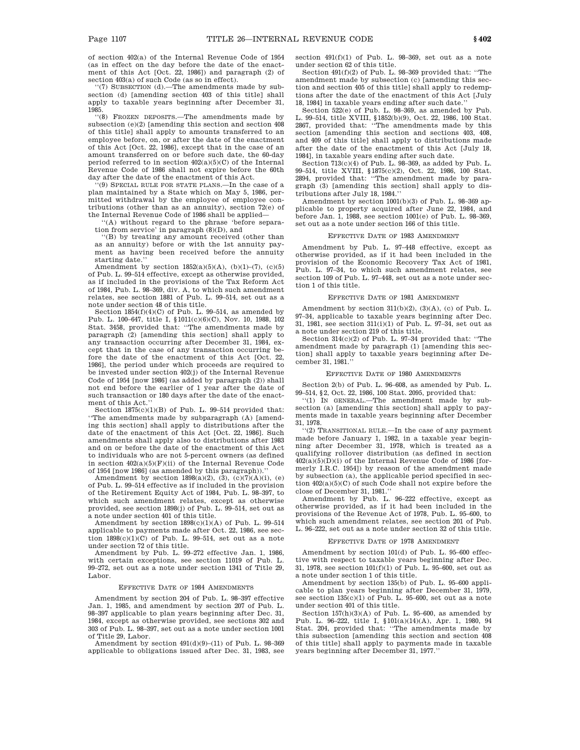of section 402(a) of the Internal Revenue Code of 1954 (as in effect on the day before the date of the enactment of this Act [Oct. 22, 1986]) and paragraph (2) of section 403(a) of such Code (as so in effect).

''(7) SUBSECTION (d).—The amendments made by subsection (d) [amending section 403 of this title] shall apply to taxable years beginning after December 31, 1985.

''(8) FROZEN DEPOSITS.—The amendments made by subsection (e)(2) [amending this section and section 408 of this title] shall apply to amounts transferred to an employee before, on, or after the date of the enactment of this Act [Oct. 22, 1986], except that in the case of an amount transferred on or before such date, the 60-day period referred to in section 402(a)(5)(C) of the Internal Revenue Code of 1986 shall not expire before the 60th day after the date of the enactment of this Act.

''(9) SPECIAL RULE FOR STATE PLANS.—In the case of a plan maintained by a State which on May 5, 1986, permitted withdrawal by the employee of employee contributions (other than as an annuity), section 72(e) of the Internal Revenue Code of 1986 shall be applied—

''(A) without regard to the phrase 'before separation from service' in paragraph (8)(D), and

''(B) by treating any amount received (other than as an annuity) before or with the 1st annuity payment as having been received before the annuity starting date.''

Amendment by section  $1852(a)(5)(A)$ ,  $(b)(1)-(7)$ ,  $(c)(5)$ of Pub. L. 99–514 effective, except as otherwise provided, as if included in the provisions of the Tax Reform Act of 1984, Pub. L. 98–369, div. A, to which such amendment relates, see section 1881 of Pub. L. 99–514, set out as a note under section 48 of this title.

Section  $1854(f)(4)(C)$  of Pub. L. 99-514, as amended by Pub. L. 100–647, title I, §1011(c)(6)(C), Nov. 10, 1988, 102 Stat. 3458, provided that: ''The amendments made by paragraph (2) [amending this section] shall apply to any transaction occurring after December 31, 1984, except that in the case of any transaction occurring before the date of the enactment of this Act [Oct. 22, 1986], the period under which proceeds are required to be invested under section 402(j) of the Internal Revenue Code of 1954 [now 1986] (as added by paragraph (2)) shall not end before the earlier of 1 year after the date of such transaction or 180 days after the date of the enactment of this Act.''

Section 1875(c)(1)(B) of Pub. L. 99–514 provided that: ''The amendments made by subparagraph (A) [amending this section] shall apply to distributions after the date of the enactment of this Act [Oct. 22, 1986]. Such amendments shall apply also to distributions after 1983 and on or before the date of the enactment of this Act to individuals who are not 5-percent owners (as defined in section  $402(a)(5)(F)(ii)$  of the Internal Revenue Code of 1954 [now 1986] (as amended by this paragraph)).''

Amendment by section  $1898(a)(2)$ ,  $(3)$ ,  $(c)(7)(A)(i)$ ,  $(e)$ of Pub. L. 99–514 effective as if included in the provision of the Retirement Equity Act of 1984, Pub. L. 98–397, to which such amendment relates, except as otherwise provided, see section 1898(j) of Pub. L. 99–514, set out as a note under section 401 of this title.

Amendment by section  $1898(c)(1)(\mathrm{\bf A})$  of Pub. L. 99–514 applicable to payments made after Oct. 22, 1986, see section  $1898(c)(1)(C)$  of Pub. L. 99-514, set out as a note under section 72 of this title.

Amendment by Pub. L. 99–272 effective Jan. 1, 1986, with certain exceptions, see section 11019 of Pub. L. 99–272, set out as a note under section 1341 of Title 29, Labor.

#### EFFECTIVE DATE OF 1984 AMENDMENTS

Amendment by section 204 of Pub. L. 98–397 effective Jan. 1, 1985, and amendment by section 207 of Pub. L. 98–397 applicable to plan years beginning after Dec. 31, 1984, except as otherwise provided, see sections 302 and 303 of Pub. L. 98–397, set out as a note under section 1001 of Title 29, Labor.

Amendment by section  $491(d)(9)$ – $(11)$  of Pub. L.  $98-369$ applicable to obligations issued after Dec. 31, 1983, see section 491(f)(1) of Pub. L. 98–369, set out as a note under section 62 of this title.

Section 491(f)(2) of Pub. L. 98–369 provided that: ''The amendment made by subsection (c) [amending this section and section 405 of this title] shall apply to redemptions after the date of the enactment of this Act [July 18, 1984] in taxable years ending after such date.''

Section 522(e) of Pub. L. 98–369, as amended by Pub. L. 99–514, title XVIII, §1852(b)(9), Oct. 22, 1986, 100 Stat. 2867, provided that: ''The amendments made by this section [amending this section and sections 403, 408, and 409 of this title] shall apply to distributions made after the date of the enactment of this Act [July 18, 1984], in taxable years ending after such date.

Section  $713(c)(4)$  of Pub. L.  $98-369$ , as added by Pub. L. 99–514, title XVIII, §1875(c)(2), Oct. 22, 1986, 100 Stat. 2894, provided that: ''The amendment made by paragraph (3) [amending this section] shall apply to distributions after July 18, 1984.''

Amendment by section 1001(b)(3) of Pub. L. 98–369 applicable to property acquired after June 22, 1984, and before Jan. 1, 1988, see section 1001(e) of Pub. L. 98–369, set out as a note under section 166 of this title.

#### EFFECTIVE DATE OF 1983 AMENDMENT

Amendment by Pub. L. 97–448 effective, except as otherwise provided, as if it had been included in the provision of the Economic Recovery Tax Act of 1981, Pub. L. 97–34, to which such amendment relates, see section 109 of Pub. L. 97–448, set out as a note under section 1 of this title.

#### EFFECTIVE DATE OF 1981 AMENDMENT

Amendment by section 311(b)(2), (3)(A), (c) of Pub. L. 97–34, applicable to taxable years beginning after Dec. 31, 1981, see section 311(i)(1) of Pub. L. 97–34, set out as a note under section 219 of this title.

Section 314(c)(2) of Pub. L. 97–34 provided that: ''The amendment made by paragraph (1) [amending this section] shall apply to taxable years beginning after December 31, 1981.''

#### EFFECTIVE DATE OF 1980 AMENDMENTS

Section 2(b) of Pub. L. 96–608, as amended by Pub. L. 99–514, §2, Oct. 22, 1986, 100 Stat. 2095, provided that:

''(1) IN GENERAL.—The amendment made by subsection (a) [amending this section] shall apply to payments made in taxable years beginning after December 31, 1978.

''(2) TRANSITIONAL RULE.—In the case of any payment made before January 1, 1982, in a taxable year beginning after December 31, 1978, which is treated as a qualifying rollover distribution (as defined in section  $402(a)(5)(D)(i)$  of the Internal Revenue Code of 1986 [formerly I.R.C. 1954]) by reason of the amendment made by subsection (a), the applicable period specified in section  $402(a)(5)(C)$  of such Code shall not expire before the close of December 31, 1981.''

Amendment by Pub. L. 96–222 effective, except as otherwise provided, as if it had been included in the provisions of the Revenue Act of 1978, Pub. L. 95–600, to which such amendment relates, see section 201 of Pub. L. 96–222, set out as a note under section 32 of this title.

#### EFFECTIVE DATE OF 1978 AMENDMENT

Amendment by section 101(d) of Pub. L. 95–600 effective with respect to taxable years beginning after Dec. 31, 1978, see section 101(f)(1) of Pub. L. 95–600, set out as a note under section 1 of this title.

Amendment by section 135(b) of Pub. L. 95–600 applicable to plan years beginning after December 31, 1979, see section  $135(c)(1)$  of Pub. L. 95–600, set out as a note under section 401 of this title.

Section 157(h)(3)(A) of Pub. L. 95–600, as amended by Pub. L. 96–222, title I, §101(a)(14)(A), Apr. 1, 1980, 94 Stat. 204, provided that: ''The amendments made by this subsection [amending this section and section 408 of this title] shall apply to payments made in taxable years beginning after December 31, 1977.''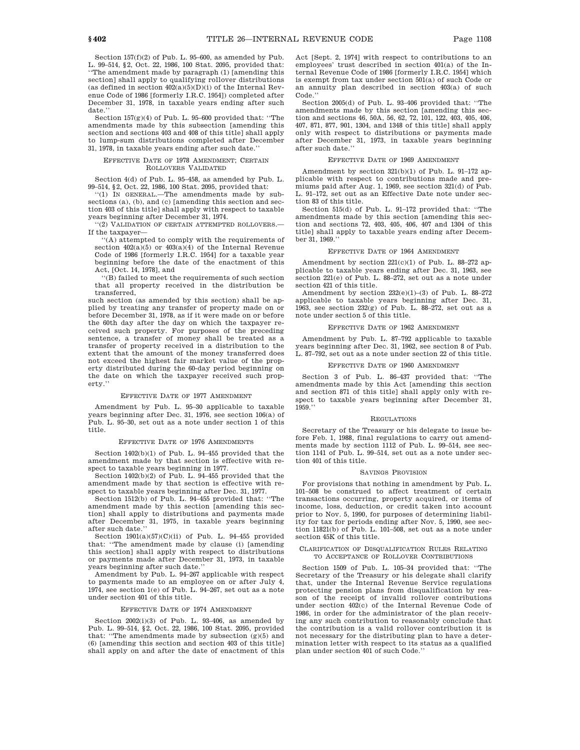section] shall apply to qualifying rollover distributions (as defined in section  $402(a)(5)(D)(i)$  of the Internal Revenue Code of 1986 [formerly I.R.C. 1954]) completed after December 31, 1978, in taxable years ending after such date.'

Section  $157(g)(4)$  of Pub. L. 95–600 provided that: "The amendments made by this subsection [amending this section and sections 403 and 408 of this title] shall apply to lump-sum distributions completed after December 31, 1978, in taxable years ending after such date.''

#### EFFECTIVE DATE OF 1978 AMENDMENT; CERTAIN ROLLOVERS VALIDATED

Section 4(d) of Pub. L. 95–458, as amended by Pub. L. 99–514, §2, Oct. 22, 1986, 100 Stat. 2095, provided that:

''(1) IN GENERAL.—The amendments made by subsections (a), (b), and (c) [amending this section and section 403 of this title] shall apply with respect to taxable years beginning after December 31, 1974.

''(2) VALIDATION OF CERTAIN ATTEMPTED ROLLOVERS.— If the taxpayer—

''(A) attempted to comply with the requirements of section  $402(a)(5)$  or  $403(a)(4)$  of the Internal Revenue Code of 1986 [formerly I.R.C. 1954] for a taxable year beginning before the date of the enactment of this Act, [Oct. 14, 1978], and

''(B) failed to meet the requirements of such section that all property received in the distribution be transferred,

such section (as amended by this section) shall be applied by treating any transfer of property made on or before December 31, 1978, as if it were made on or before the 60th day after the day on which the taxpayer received such property. For purposes of the preceding sentence, a transfer of money shall be treated as a transfer of property received in a distribution to the extent that the amount of the money transferred does not exceed the highest fair market value of the property distributed during the 60-day period beginning on the date on which the taxpayer received such property.''

#### EFFECTIVE DATE OF 1977 AMENDMENT

Amendment by Pub. L. 95–30 applicable to taxable years beginning after Dec. 31, 1976, see section 106(a) of Pub. L. 95–30, set out as a note under section 1 of this title.

#### EFFECTIVE DATE OF 1976 AMENDMENTS

Section 1402(b)(1) of Pub. L. 94–455 provided that the amendment made by that section is effective with respect to taxable years beginning in 1977.

Section 1402(b)(2) of Pub. L. 94–455 provided that the amendment made by that section is effective with respect to taxable years beginning after Dec. 31, 1977.

Section 1512(b) of Pub. L. 94–455 provided that: ''The amendment made by this section [amending this section] shall apply to distributions and payments made after December 31, 1975, in taxable years beginning after such date.''

Section 1901(a)(57)(C)(ii) of Pub. L. 94–455 provided that: ''The amendment made by clause (i) [amending this section] shall apply with respect to distributions or payments made after December 31, 1973, in taxable years beginning after such date.''

Amendment by Pub. L. 94–267 applicable with respect to payments made to an employee on or after July 4, 1974, see section 1(e) of Pub. L. 94–267, set out as a note under section 401 of this title.

#### EFFECTIVE DATE OF 1974 AMENDMENT

Section  $2002(i)(3)$  of Pub. L. 93-406, as amended by Pub. L. 99–514, §2, Oct. 22, 1986, 100 Stat. 2095, provided that: ''The amendments made by subsection (g)(5) and (6) [amending this section and section 403 of this title] shall apply on and after the date of enactment of this Act [Sept. 2, 1974] with respect to contributions to an employees' trust described in section 401(a) of the Internal Revenue Code of 1986 [formerly I.R.C. 1954] which is exempt from tax under section 501(a) of such Code or an annuity plan described in section 403(a) of such Code.''

Section 2005(d) of Pub. L. 93–406 provided that: ''The amendments made by this section [amending this section and sections 46, 50A, 56, 62, 72, 101, 122, 403, 405, 406, 407, 871, 877, 901, 1304, and 1348 of this title] shall apply only with respect to distributions or payments made after December 31, 1973, in taxable years beginning after such date.''

### EFFECTIVE DATE OF 1969 AMENDMENT

Amendment by section 321(b)(1) of Pub. L. 91–172 applicable with respect to contributions made and premiums paid after Aug. 1, 1969, see section 321(d) of Pub. L. 91–172, set out as an Effective Date note under section 83 of this title.

Section 515(d) of Pub. L. 91–172 provided that: ''The amendments made by this section [amending this section and sections 72, 403, 405, 406, 407 and 1304 of this title] shall apply to taxable years ending after December 31, 1969.''

#### EFFECTIVE DATE OF 1964 AMENDMENT

Amendment by section  $221(c)(1)$  of Pub. L. 88-272 applicable to taxable years ending after Dec. 31, 1963, see section 221(e) of Pub. L. 88–272, set out as a note under section 421 of this title.

Amendment by section 232(e)(1)–(3) of Pub. L. 88–272 applicable to taxable years beginning after Dec. 31, 1963, see section  $232(g)$  of Pub. L. 88–272, set out as a note under section 5 of this title.

#### EFFECTIVE DATE OF 1962 AMENDMENT

Amendment by Pub. L. 87–792 applicable to taxable years beginning after Dec. 31, 1962, see section 8 of Pub. L. 87–792, set out as a note under section 22 of this title.

#### EFFECTIVE DATE OF 1960 AMENDMENT

Section 3 of Pub. L. 86–437 provided that: ''The amendments made by this Act [amending this section and section 871 of this title] shall apply only with respect to taxable years beginning after December 31, 1959.''

#### REGULATIONS

Secretary of the Treasury or his delegate to issue before Feb. 1, 1988, final regulations to carry out amendments made by section 1112 of Pub. L. 99–514, see section 1141 of Pub. L. 99–514, set out as a note under section 401 of this title.

#### SAVINGS PROVISION

For provisions that nothing in amendment by Pub. L. 101–508 be construed to affect treatment of certain transactions occurring, property acquired, or items of income, loss, deduction, or credit taken into account prior to Nov. 5, 1990, for purposes of determining liability for tax for periods ending after Nov. 5, 1990, see section 11821(b) of Pub. L. 101–508, set out as a note under section 45K of this title.

#### CLARIFICATION OF DISQUALIFICATION RULES RELATING TO ACCEPTANCE OF ROLLOVER CONTRIBUTIONS

Section 1509 of Pub. L. 105–34 provided that: ''The Secretary of the Treasury or his delegate shall clarify that, under the Internal Revenue Service regulations protecting pension plans from disqualification by reason of the receipt of invalid rollover contributions under section 402(c) of the Internal Revenue Code of 1986, in order for the administrator of the plan receiving any such contribution to reasonably conclude that the contribution is a valid rollover contribution it is not necessary for the distributing plan to have a determination letter with respect to its status as a qualified plan under section 401 of such Code.''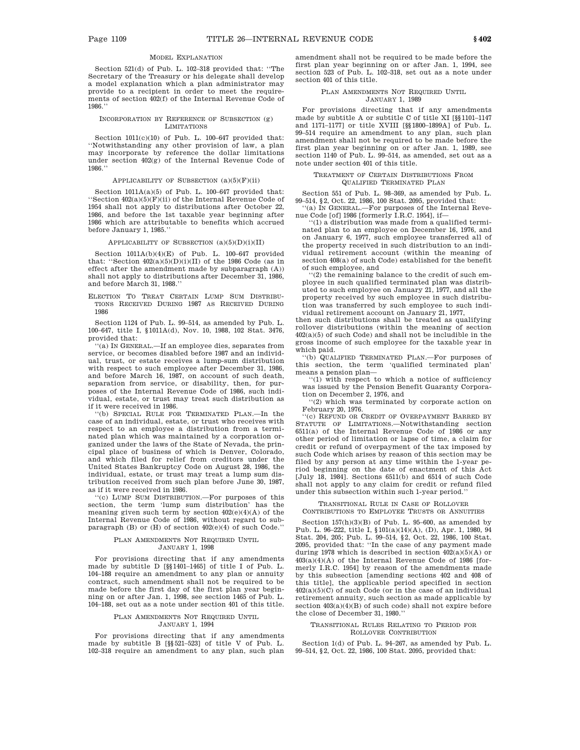#### MODEL EXPLANATION

Section 521(d) of Pub. L. 102–318 provided that: ''The Secretary of the Treasury or his delegate shall develop a model explanation which a plan administrator may provide to a recipient in order to meet the requirements of section 402(f) of the Internal Revenue Code of 1986.''

#### INCORPORATION BY REFERENCE OF SUBSECTION (g) LIMITATIONS

Section 1011(c)(10) of Pub. L. 100–647 provided that: ''Notwithstanding any other provision of law, a plan may incorporate by reference the dollar limitations under section 402(g) of the Internal Revenue Code of 1986.''

#### APPLICABILITY OF SUBSECTION  $(a)(5)(F)(ii)$

Section 1011A(a)(5) of Pub. L. 100–647 provided that: ''Section  $402(a)(5)(F)(ii)$  of the Internal Revenue Code of 1954 shall not apply to distributions after October 22, 1986, and before the 1st taxable year beginning after 1986 which are attributable to benefits which accrued before January 1, 1985.''

#### APPLICABILITY OF SUBSECTION  $(a)(5)(D)(i)(II)$

Section 1011A(b)(4)(E) of Pub. L. 100–647 provided that: "Section  $402(a)(5)(D)(i)(II)$  of the 1986 Code (as in effect after the amendment made by subparagraph (A)) shall not apply to distributions after December 31, 1986, and before March 31, 1988.''

ELECTION TO TREAT CERTAIN LUMP SUM DISTRIBU-TIONS RECEIVED DURING 1987 AS RECEIVED DURING 1986

Section 1124 of Pub. L. 99–514, as amended by Pub. L. 100–647, title I, §1011A(d), Nov. 10, 1988, 102 Stat. 3476, provided that:

''(a) IN GENERAL.—If an employee dies, separates from service, or becomes disabled before 1987 and an individual, trust, or estate receives a lump-sum distribution with respect to such employee after December 31, 1986, and before March 16, 1987, on account of such death, separation from service, or disability, then, for purposes of the Internal Revenue Code of 1986, such individual, estate, or trust may treat such distribution as if it were received in 1986.

''(b) SPECIAL RULE FOR TERMINATED PLAN.—In the case of an individual, estate, or trust who receives with respect to an employee a distribution from a terminated plan which was maintained by a corporation organized under the laws of the State of Nevada, the principal place of business of which is Denver, Colorado, and which filed for relief from creditors under the United States Bankruptcy Code on August 28, 1986, the individual, estate, or trust may treat a lump sum distribution received from such plan before June 30, 1987, as if it were received in 1986.

''(c) LUMP SUM DISTRIBUTION.—For purposes of this section, the term 'lump sum distribution' has the meaning given such term by section  $402(e)(4)(A)$  of the Internal Revenue Code of 1986, without regard to subparagraph (B) or (H) of section 402(e)(4) of such Code.''

#### PLAN AMENDMENTS NOT REQUIRED UNTIL JANUARY 1, 1998

For provisions directing that if any amendments made by subtitle D [§§1401–1465] of title I of Pub. L. 104–188 require an amendment to any plan or annuity contract, such amendment shall not be required to be made before the first day of the first plan year beginning on or after Jan. 1, 1998, see section 1465 of Pub. L. 104–188, set out as a note under section 401 of this title.

#### PLAN AMENDMENTS NOT REQUIRED UNTIL JANUARY 1, 1994

For provisions directing that if any amendments made by subtitle B [§§521–523] of title V of Pub. L. 102–318 require an amendment to any plan, such plan amendment shall not be required to be made before the first plan year beginning on or after Jan. 1, 1994, see section 523 of Pub. L. 102–318, set out as a note under section 401 of this title.

#### PLAN AMENDMENTS NOT REQUIRED UNTIL JANUARY 1, 1989

For provisions directing that if any amendments made by subtitle A or subtitle C of title XI [§§1101–1147 and 1171–1177] or title XVIII [§§1800–1899A] of Pub. L. 99–514 require an amendment to any plan, such plan amendment shall not be required to be made before the first plan year beginning on or after Jan. 1, 1989, see section 1140 of Pub. L. 99–514, as amended, set out as a note under section 401 of this title.

#### TREATMENT OF CERTAIN DISTRIBUTIONS FROM QUALIFIED TERMINATED PLAN

Section 551 of Pub. L. 98–369, as amended by Pub. L. 99–514, §2, Oct. 22, 1986, 100 Stat. 2095, provided that: ''(a) IN GENERAL.—For purposes of the Internal Reve-

nue Code [of] 1986 [formerly I.R.C. 1954], if—

'(1) a distribution was made from a qualified terminated plan to an employee on December 16, 1976, and on January 6, 1977, such employee transferred all of the property received in such distribution to an individual retirement account (within the meaning of section 408(a) of such Code) established for the benefit of such employee, and

 $(2)$  the remaining balance to the credit of such employee in such qualified terminated plan was distributed to such employee on January 21, 1977, and all the property received by such employee in such distribution was transferred by such employee to such individual retirement account on January 21, 1977,

then such distributions shall be treated as qualifying rollover distributions (within the meaning of section  $402(a)(5)$  of such Code) and shall not be includible in the gross income of such employee for the taxable year in which paid.

''(b) QUALIFIED TERMINATED PLAN.—For purposes of this section, the term 'qualified terminated plan' means a pension plan—

''(1) with respect to which a notice of sufficiency was issued by the Pension Benefit Guaranty Corporation on December 2, 1976, and

''(2) which was terminated by corporate action on February 20, 1976.

''(c) REFUND OR CREDIT OF OVERPAYMENT BARRED BY STATUTE OF LIMITATIONS.—Notwithstanding section 6511(a) of the Internal Revenue Code of 1986 or any other period of limitation or lapse of time, a claim for credit or refund of overpayment of the tax imposed by such Code which arises by reason of this section may be filed by any person at any time within the 1-year period beginning on the date of enactment of this Act [July 18, 1984]. Sections 6511(b) and 6514 of such Code shall not apply to any claim for credit or refund filed under this subsection within such 1-year period.''

#### TRANSITIONAL RULE IN CASE OF ROLLOVER CONTRIBUTIONS TO EMPLOYEE TRUSTS OR ANNUITIES

Section  $157(h)(3)(B)$  of Pub. L. 95–600, as amended by Pub. L. 96–222, title I, §101(a)(14)(A), (D), Apr. 1, 1980, 94 Stat. 204, 205; Pub. L. 99–514, §2, Oct. 22, 1986, 100 Stat. 2095, provided that: ''In the case of any payment made during 1978 which is described in section  $402(a)(5)(A)$  or  $403(a)(4)(A)$  of the Internal Revenue Code of 1986 [formerly I.R.C. 1954] by reason of the amendments made by this subsection [amending sections 402 and 408 of this title], the applicable period specified in section 402(a)(5)(C) of such Code (or in the case of an individual retirement annuity, such section as made applicable by section  $403(a)(4)(B)$  of such code) shall not expire before the close of December 31, 1980.''

#### TRANSITIONAL RULES RELATING TO PERIOD FOR ROLLOVER CONTRIBUTION

Section 1(d) of Pub. L. 94–267, as amended by Pub. L. 99–514, §2, Oct. 22, 1986, 100 Stat. 2095, provided that: